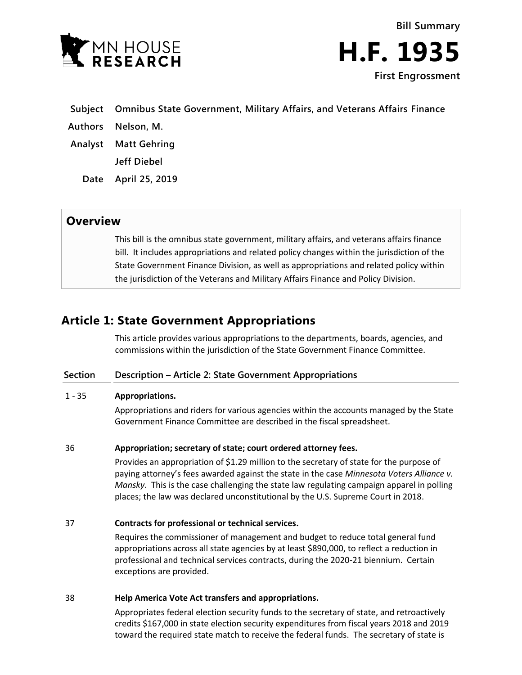

- **Subject Omnibus State Government, Military Affairs, and Veterans Affairs Finance**
- **Authors Nelson, M.**
- **Analyst Matt Gehring**

**Jeff Diebel**

**Date April 25, 2019**

## **Overview**

This bill is the omnibus state government, military affairs, and veterans affairs finance bill. It includes appropriations and related policy changes within the jurisdiction of the State Government Finance Division, as well as appropriations and related policy within the jurisdiction of the Veterans and Military Affairs Finance and Policy Division.

# **Article 1: State Government Appropriations**

This article provides various appropriations to the departments, boards, agencies, and commissions within the jurisdiction of the State Government Finance Committee.

## **Section Description – Article 2: State Government Appropriations**

### 1 - 35 **Appropriations.**

Appropriations and riders for various agencies within the accounts managed by the State Government Finance Committee are described in the fiscal spreadsheet.

### 36 **Appropriation; secretary of state; court ordered attorney fees.**

Provides an appropriation of \$1.29 million to the secretary of state for the purpose of paying attorney's fees awarded against the state in the case *Minnesota Voters Alliance v. Mansky*. This is the case challenging the state law regulating campaign apparel in polling places; the law was declared unconstitutional by the U.S. Supreme Court in 2018.

### 37 **Contracts for professional or technical services.**

Requires the commissioner of management and budget to reduce total general fund appropriations across all state agencies by at least \$890,000, to reflect a reduction in professional and technical services contracts, during the 2020-21 biennium. Certain exceptions are provided.

### 38 **Help America Vote Act transfers and appropriations.**

Appropriates federal election security funds to the secretary of state, and retroactively credits \$167,000 in state election security expenditures from fiscal years 2018 and 2019 toward the required state match to receive the federal funds. The secretary of state is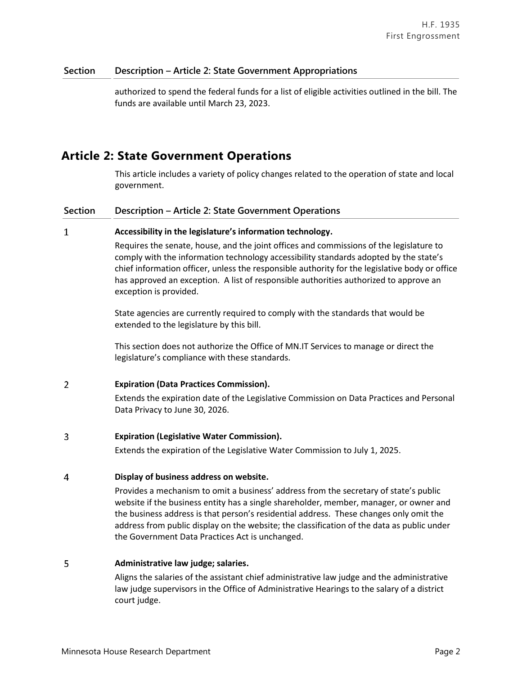authorized to spend the federal funds for a list of eligible activities outlined in the bill. The funds are available until March 23, 2023.

## **Article 2: State Government Operations**

This article includes a variety of policy changes related to the operation of state and local government.

### **Section Description – Article 2: State Government Operations**

#### $\mathbf{1}$ **Accessibility in the legislature's information technology.**

Requires the senate, house, and the joint offices and commissions of the legislature to comply with the information technology accessibility standards adopted by the state's chief information officer, unless the responsible authority for the legislative body or office has approved an exception. A list of responsible authorities authorized to approve an exception is provided.

State agencies are currently required to comply with the standards that would be extended to the legislature by this bill.

This section does not authorize the Office of MN.IT Services to manage or direct the legislature's compliance with these standards.

#### $\overline{2}$ **Expiration (Data Practices Commission).**

Extends the expiration date of the Legislative Commission on Data Practices and Personal Data Privacy to June 30, 2026.

#### 3 **Expiration (Legislative Water Commission).**

Extends the expiration of the Legislative Water Commission to July 1, 2025.

#### $\overline{4}$ **Display of business address on website.**

Provides a mechanism to omit a business' address from the secretary of state's public website if the business entity has a single shareholder, member, manager, or owner and the business address is that person's residential address. These changes only omit the address from public display on the website; the classification of the data as public under the Government Data Practices Act is unchanged.

#### 5 **Administrative law judge; salaries.**

Aligns the salaries of the assistant chief administrative law judge and the administrative law judge supervisors in the Office of Administrative Hearings to the salary of a district court judge.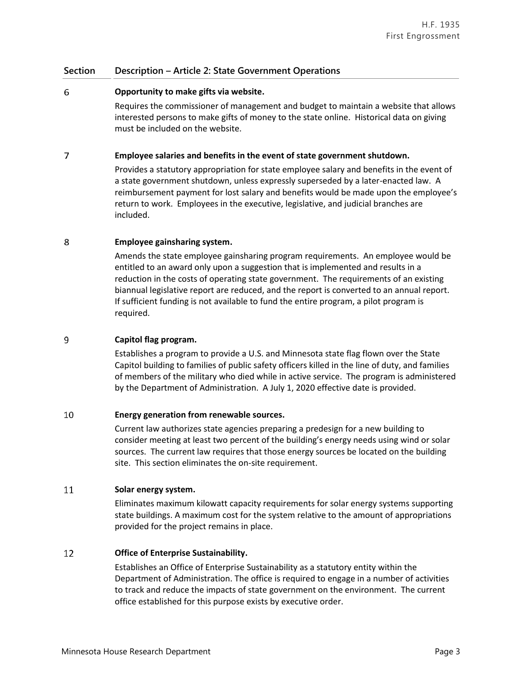#### 6 **Opportunity to make gifts via website.**

Requires the commissioner of management and budget to maintain a website that allows interested persons to make gifts of money to the state online. Historical data on giving must be included on the website.

#### $\overline{7}$ **Employee salaries and benefits in the event of state government shutdown.**

Provides a statutory appropriation for state employee salary and benefits in the event of a state government shutdown, unless expressly superseded by a later-enacted law. A reimbursement payment for lost salary and benefits would be made upon the employee's return to work. Employees in the executive, legislative, and judicial branches are included.

#### 8 **Employee gainsharing system.**

Amends the state employee gainsharing program requirements. An employee would be entitled to an award only upon a suggestion that is implemented and results in a reduction in the costs of operating state government. The requirements of an existing biannual legislative report are reduced, and the report is converted to an annual report. If sufficient funding is not available to fund the entire program, a pilot program is required.

#### 9 **Capitol flag program.**

Establishes a program to provide a U.S. and Minnesota state flag flown over the State Capitol building to families of public safety officers killed in the line of duty, and families of members of the military who died while in active service. The program is administered by the Department of Administration. A July 1, 2020 effective date is provided.

#### $10$ **Energy generation from renewable sources.**

Current law authorizes state agencies preparing a predesign for a new building to consider meeting at least two percent of the building's energy needs using wind or solar sources. The current law requires that those energy sources be located on the building site. This section eliminates the on-site requirement.

#### 11 **Solar energy system.**

Eliminates maximum kilowatt capacity requirements for solar energy systems supporting state buildings. A maximum cost for the system relative to the amount of appropriations provided for the project remains in place.

#### 12 **Office of Enterprise Sustainability.**

Establishes an Office of Enterprise Sustainability as a statutory entity within the Department of Administration. The office is required to engage in a number of activities to track and reduce the impacts of state government on the environment. The current office established for this purpose exists by executive order.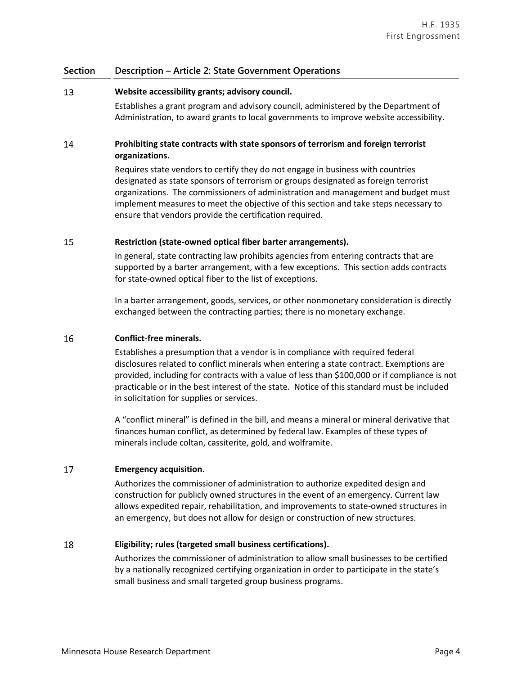#### 13 **Website accessibility grants; advisory council.**

Establishes a grant program and advisory council, administered by the Department of Administration, to award grants to local governments to improve website accessibility.

### 14 **Prohibiting state contracts with state sponsors of terrorism and foreign terrorist organizations.**

Requires state vendors to certify they do not engage in business with countries designated as state sponsors of terrorism or groups designated as foreign terrorist organizations. The commissioners of administration and management and budget must implement measures to meet the objective of this section and take steps necessary to ensure that vendors provide the certification required.

#### 15 **Restriction (state-owned optical fiber barter arrangements).**

In general, state contracting law prohibits agencies from entering contracts that are supported by a barter arrangement, with a few exceptions. This section adds contracts for state-owned optical fiber to the list of exceptions.

In a barter arrangement, goods, services, or other nonmonetary consideration is directly exchanged between the contracting parties; there is no monetary exchange.

#### 16 **Conflict-free minerals.**

Establishes a presumption that a vendor is in compliance with required federal disclosures related to conflict minerals when entering a state contract. Exemptions are provided, including for contracts with a value of less than \$100,000 or if compliance is not practicable or in the best interest of the state. Notice of this standard must be included in solicitation for supplies or services.

A "conflict mineral" is defined in the bill, and means a mineral or mineral derivative that finances human conflict, as determined by federal law. Examples of these types of minerals include coltan, cassiterite, gold, and wolframite.

#### 17 **Emergency acquisition.**

Authorizes the commissioner of administration to authorize expedited design and construction for publicly owned structures in the event of an emergency. Current law allows expedited repair, rehabilitation, and improvements to state-owned structures in an emergency, but does not allow for design or construction of new structures.

#### 18 **Eligibility; rules (targeted small business certifications).**

Authorizes the commissioner of administration to allow small businesses to be certified by a nationally recognized certifying organization in order to participate in the state's small business and small targeted group business programs.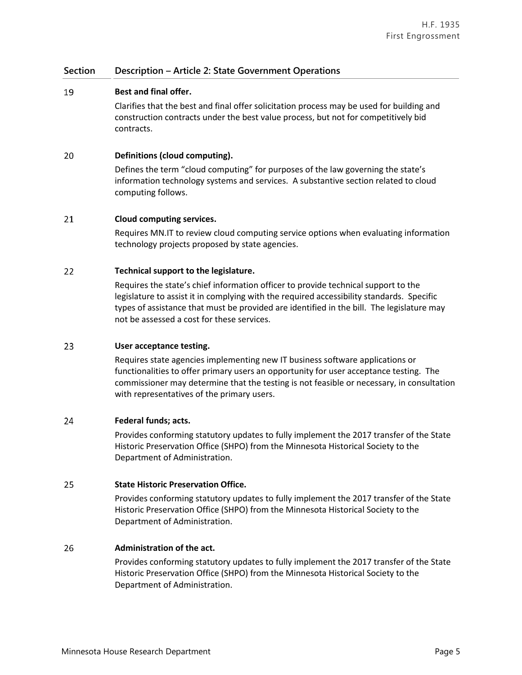#### 19 **Best and final offer.**

Clarifies that the best and final offer solicitation process may be used for building and construction contracts under the best value process, but not for competitively bid contracts.

#### 20 **Definitions (cloud computing).**

Defines the term "cloud computing" for purposes of the law governing the state's information technology systems and services. A substantive section related to cloud computing follows.

#### 21 **Cloud computing services.**

Requires MN.IT to review cloud computing service options when evaluating information technology projects proposed by state agencies.

#### 22 **Technical support to the legislature.**

Requires the state's chief information officer to provide technical support to the legislature to assist it in complying with the required accessibility standards. Specific types of assistance that must be provided are identified in the bill. The legislature may not be assessed a cost for these services.

#### 23 **User acceptance testing.**

Requires state agencies implementing new IT business software applications or functionalities to offer primary users an opportunity for user acceptance testing. The commissioner may determine that the testing is not feasible or necessary, in consultation with representatives of the primary users.

#### 24 **Federal funds; acts.**

Provides conforming statutory updates to fully implement the 2017 transfer of the State Historic Preservation Office (SHPO) from the Minnesota Historical Society to the Department of Administration.

#### 25 **State Historic Preservation Office.**

Provides conforming statutory updates to fully implement the 2017 transfer of the State Historic Preservation Office (SHPO) from the Minnesota Historical Society to the Department of Administration.

#### 26 **Administration of the act.**

Provides conforming statutory updates to fully implement the 2017 transfer of the State Historic Preservation Office (SHPO) from the Minnesota Historical Society to the Department of Administration.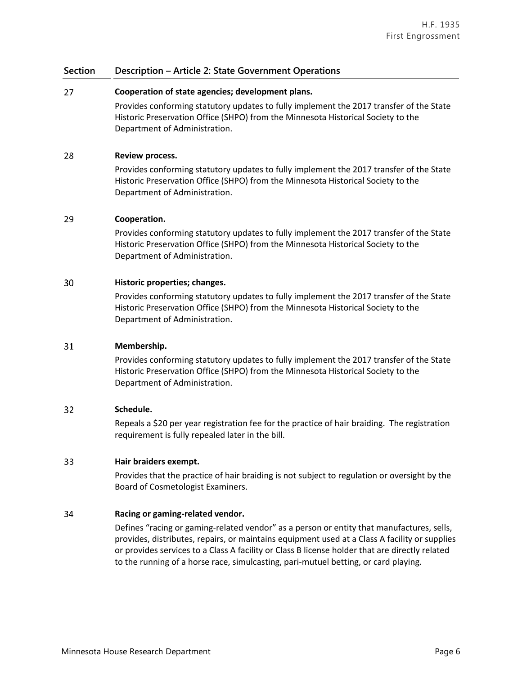#### 27 **Cooperation of state agencies; development plans.**

Provides conforming statutory updates to fully implement the 2017 transfer of the State Historic Preservation Office (SHPO) from the Minnesota Historical Society to the Department of Administration.

#### 28 **Review process.**

Provides conforming statutory updates to fully implement the 2017 transfer of the State Historic Preservation Office (SHPO) from the Minnesota Historical Society to the Department of Administration.

#### 29 **Cooperation.**

Provides conforming statutory updates to fully implement the 2017 transfer of the State Historic Preservation Office (SHPO) from the Minnesota Historical Society to the Department of Administration.

#### 30 **Historic properties; changes.**

Provides conforming statutory updates to fully implement the 2017 transfer of the State Historic Preservation Office (SHPO) from the Minnesota Historical Society to the Department of Administration.

#### 31 **Membership.**

Provides conforming statutory updates to fully implement the 2017 transfer of the State Historic Preservation Office (SHPO) from the Minnesota Historical Society to the Department of Administration.

#### $32<sub>2</sub>$ **Schedule.**

Repeals a \$20 per year registration fee for the practice of hair braiding. The registration requirement is fully repealed later in the bill.

#### 33 **Hair braiders exempt.**

Provides that the practice of hair braiding is not subject to regulation or oversight by the Board of Cosmetologist Examiners.

#### 34 **Racing or gaming-related vendor.**

Defines "racing or gaming-related vendor" as a person or entity that manufactures, sells, provides, distributes, repairs, or maintains equipment used at a Class A facility or supplies or provides services to a Class A facility or Class B license holder that are directly related to the running of a horse race, simulcasting, pari-mutuel betting, or card playing.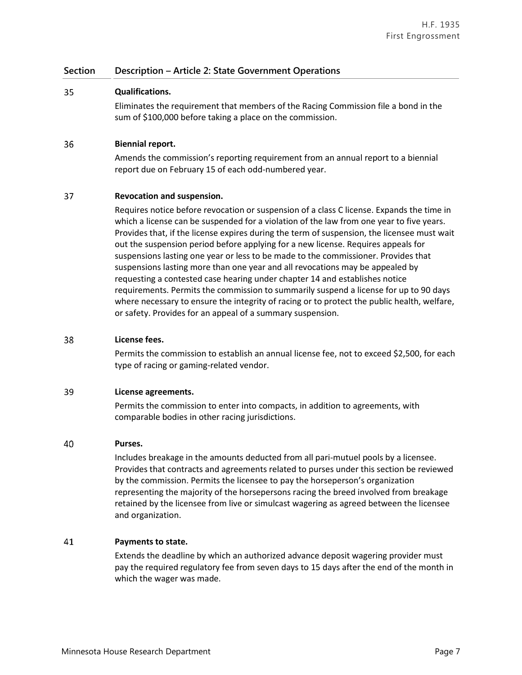#### 35 **Qualifications.**

Eliminates the requirement that members of the Racing Commission file a bond in the sum of \$100,000 before taking a place on the commission.

#### 36 **Biennial report.**

Amends the commission's reporting requirement from an annual report to a biennial report due on February 15 of each odd-numbered year.

#### 37 **Revocation and suspension.**

Requires notice before revocation or suspension of a class C license. Expands the time in which a license can be suspended for a violation of the law from one year to five years. Provides that, if the license expires during the term of suspension, the licensee must wait out the suspension period before applying for a new license. Requires appeals for suspensions lasting one year or less to be made to the commissioner. Provides that suspensions lasting more than one year and all revocations may be appealed by requesting a contested case hearing under chapter 14 and establishes notice requirements. Permits the commission to summarily suspend a license for up to 90 days where necessary to ensure the integrity of racing or to protect the public health, welfare, or safety. Provides for an appeal of a summary suspension.

#### 38 **License fees.**

Permits the commission to establish an annual license fee, not to exceed \$2,500, for each type of racing or gaming-related vendor.

#### 39 **License agreements.**

Permits the commission to enter into compacts, in addition to agreements, with comparable bodies in other racing jurisdictions.

#### 40 **Purses.**

Includes breakage in the amounts deducted from all pari-mutuel pools by a licensee. Provides that contracts and agreements related to purses under this section be reviewed by the commission. Permits the licensee to pay the horseperson's organization representing the majority of the horsepersons racing the breed involved from breakage retained by the licensee from live or simulcast wagering as agreed between the licensee and organization.

#### 41 **Payments to state.**

Extends the deadline by which an authorized advance deposit wagering provider must pay the required regulatory fee from seven days to 15 days after the end of the month in which the wager was made.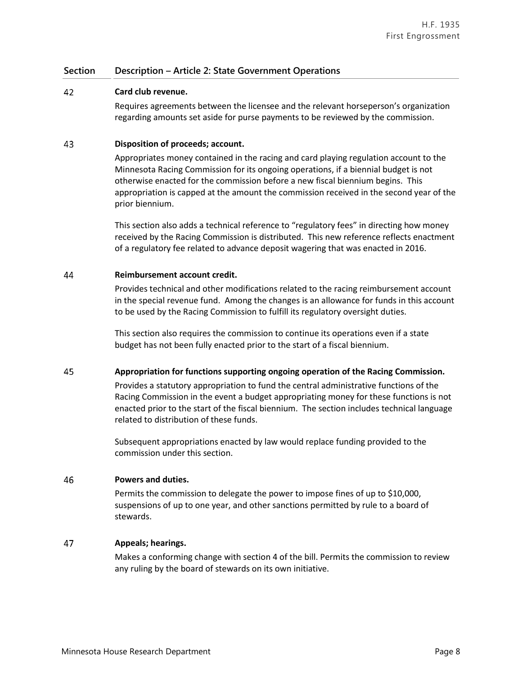#### 42 **Card club revenue.**

Requires agreements between the licensee and the relevant horseperson's organization regarding amounts set aside for purse payments to be reviewed by the commission.

#### 43 **Disposition of proceeds; account.**

Appropriates money contained in the racing and card playing regulation account to the Minnesota Racing Commission for its ongoing operations, if a biennial budget is not otherwise enacted for the commission before a new fiscal biennium begins. This appropriation is capped at the amount the commission received in the second year of the prior biennium.

This section also adds a technical reference to "regulatory fees" in directing how money received by the Racing Commission is distributed. This new reference reflects enactment of a regulatory fee related to advance deposit wagering that was enacted in 2016.

#### 44 **Reimbursement account credit.**

Provides technical and other modifications related to the racing reimbursement account in the special revenue fund. Among the changes is an allowance for funds in this account to be used by the Racing Commission to fulfill its regulatory oversight duties.

This section also requires the commission to continue its operations even if a state budget has not been fully enacted prior to the start of a fiscal biennium.

#### 45 **Appropriation for functions supporting ongoing operation of the Racing Commission.**

Provides a statutory appropriation to fund the central administrative functions of the Racing Commission in the event a budget appropriating money for these functions is not enacted prior to the start of the fiscal biennium. The section includes technical language related to distribution of these funds.

Subsequent appropriations enacted by law would replace funding provided to the commission under this section.

#### 46 **Powers and duties.**

Permits the commission to delegate the power to impose fines of up to \$10,000, suspensions of up to one year, and other sanctions permitted by rule to a board of stewards.

#### 47 **Appeals; hearings.**

Makes a conforming change with section 4 of the bill. Permits the commission to review any ruling by the board of stewards on its own initiative.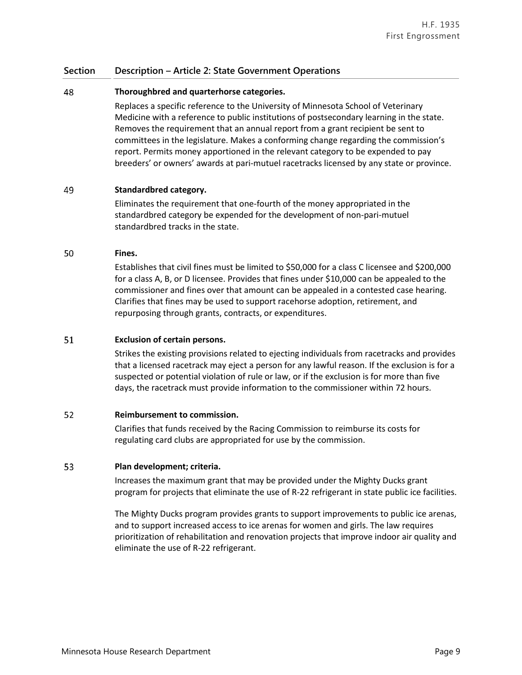#### 48 **Thoroughbred and quarterhorse categories.**

Replaces a specific reference to the University of Minnesota School of Veterinary Medicine with a reference to public institutions of postsecondary learning in the state. Removes the requirement that an annual report from a grant recipient be sent to committees in the legislature. Makes a conforming change regarding the commission's report. Permits money apportioned in the relevant category to be expended to pay breeders' or owners' awards at pari-mutuel racetracks licensed by any state or province.

#### 49 **Standardbred category.**

Eliminates the requirement that one-fourth of the money appropriated in the standardbred category be expended for the development of non-pari-mutuel standardbred tracks in the state.

#### 50 **Fines.**

Establishes that civil fines must be limited to \$50,000 for a class C licensee and \$200,000 for a class A, B, or D licensee. Provides that fines under \$10,000 can be appealed to the commissioner and fines over that amount can be appealed in a contested case hearing. Clarifies that fines may be used to support racehorse adoption, retirement, and repurposing through grants, contracts, or expenditures.

#### 51 **Exclusion of certain persons.**

Strikes the existing provisions related to ejecting individuals from racetracks and provides that a licensed racetrack may eject a person for any lawful reason. If the exclusion is for a suspected or potential violation of rule or law, or if the exclusion is for more than five days, the racetrack must provide information to the commissioner within 72 hours.

#### 52 **Reimbursement to commission.**

Clarifies that funds received by the Racing Commission to reimburse its costs for regulating card clubs are appropriated for use by the commission.

#### 53 **Plan development; criteria.**

Increases the maximum grant that may be provided under the Mighty Ducks grant program for projects that eliminate the use of R-22 refrigerant in state public ice facilities.

The Mighty Ducks program provides grants to support improvements to public ice arenas, and to support increased access to ice arenas for women and girls. The law requires prioritization of rehabilitation and renovation projects that improve indoor air quality and eliminate the use of R-22 refrigerant.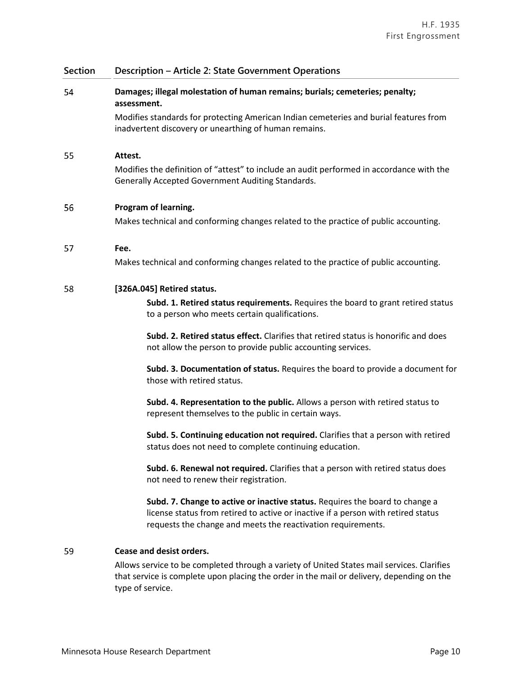| Section | Description - Article 2: State Government Operations                                                                                                                                                                              |
|---------|-----------------------------------------------------------------------------------------------------------------------------------------------------------------------------------------------------------------------------------|
| 54      | Damages; illegal molestation of human remains; burials; cemeteries; penalty;<br>assessment.                                                                                                                                       |
|         | Modifies standards for protecting American Indian cemeteries and burial features from<br>inadvertent discovery or unearthing of human remains.                                                                                    |
| 55      | Attest.<br>Modifies the definition of "attest" to include an audit performed in accordance with the<br>Generally Accepted Government Auditing Standards.                                                                          |
| 56      | Program of learning.                                                                                                                                                                                                              |
|         | Makes technical and conforming changes related to the practice of public accounting.                                                                                                                                              |
| 57      | Fee.                                                                                                                                                                                                                              |
|         | Makes technical and conforming changes related to the practice of public accounting.                                                                                                                                              |
| 58      | [326A.045] Retired status.                                                                                                                                                                                                        |
|         | Subd. 1. Retired status requirements. Requires the board to grant retired status<br>to a person who meets certain qualifications.                                                                                                 |
|         | Subd. 2. Retired status effect. Clarifies that retired status is honorific and does<br>not allow the person to provide public accounting services.                                                                                |
|         | Subd. 3. Documentation of status. Requires the board to provide a document for<br>those with retired status.                                                                                                                      |
|         | Subd. 4. Representation to the public. Allows a person with retired status to<br>represent themselves to the public in certain ways.                                                                                              |
|         | Subd. 5. Continuing education not required. Clarifies that a person with retired<br>status does not need to complete continuing education.                                                                                        |
|         | Subd. 6. Renewal not required. Clarifies that a person with retired status does<br>not need to renew their registration.                                                                                                          |
|         | Subd. 7. Change to active or inactive status. Requires the board to change a<br>license status from retired to active or inactive if a person with retired status<br>requests the change and meets the reactivation requirements. |
|         |                                                                                                                                                                                                                                   |
| 59      | <b>Cease and desist orders.</b>                                                                                                                                                                                                   |
|         | Allows service to be completed through a variety of United States mail services. Clarifies<br>that service is complete upon placing the order in the mail or delivery, depending on the                                           |

type of service.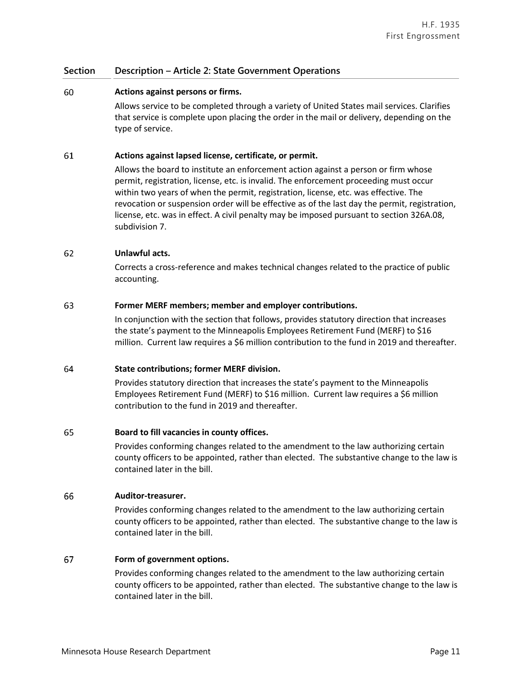#### 60 **Actions against persons or firms.**

Allows service to be completed through a variety of United States mail services. Clarifies that service is complete upon placing the order in the mail or delivery, depending on the type of service.

#### 61 **Actions against lapsed license, certificate, or permit.**

Allows the board to institute an enforcement action against a person or firm whose permit, registration, license, etc. is invalid. The enforcement proceeding must occur within two years of when the permit, registration, license, etc. was effective. The revocation or suspension order will be effective as of the last day the permit, registration, license, etc. was in effect. A civil penalty may be imposed pursuant to section 326A.08, subdivision 7.

#### 62 **Unlawful acts.**

Corrects a cross-reference and makes technical changes related to the practice of public accounting.

#### 63 **Former MERF members; member and employer contributions.**

In conjunction with the section that follows, provides statutory direction that increases the state's payment to the Minneapolis Employees Retirement Fund (MERF) to \$16 million. Current law requires a \$6 million contribution to the fund in 2019 and thereafter.

#### **State contributions; former MERF division.** 64

Provides statutory direction that increases the state's payment to the Minneapolis Employees Retirement Fund (MERF) to \$16 million. Current law requires a \$6 million contribution to the fund in 2019 and thereafter.

#### 65 **Board to fill vacancies in county offices.**

Provides conforming changes related to the amendment to the law authorizing certain county officers to be appointed, rather than elected. The substantive change to the law is contained later in the bill.

#### 66 **Auditor-treasurer.**

Provides conforming changes related to the amendment to the law authorizing certain county officers to be appointed, rather than elected. The substantive change to the law is contained later in the bill.

#### 67 **Form of government options.**

Provides conforming changes related to the amendment to the law authorizing certain county officers to be appointed, rather than elected. The substantive change to the law is contained later in the bill.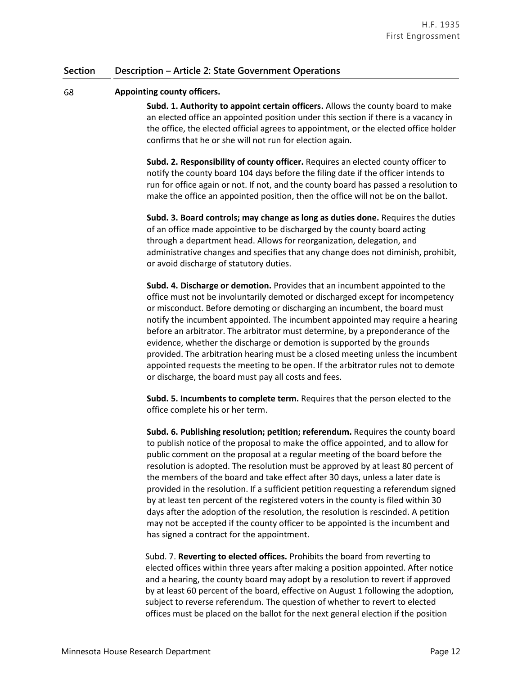#### 68 **Appointing county officers.**

**Subd. 1. Authority to appoint certain officers.** Allows the county board to make an elected office an appointed position under this section if there is a vacancy in the office, the elected official agrees to appointment, or the elected office holder confirms that he or she will not run for election again.

**Subd. 2. Responsibility of county officer.** Requires an elected county officer to notify the county board 104 days before the filing date if the officer intends to run for office again or not. If not, and the county board has passed a resolution to make the office an appointed position, then the office will not be on the ballot.

**Subd. 3. Board controls; may change as long as duties done.** Requires the duties of an office made appointive to be discharged by the county board acting through a department head. Allows for reorganization, delegation, and administrative changes and specifies that any change does not diminish, prohibit, or avoid discharge of statutory duties.

**Subd. 4. Discharge or demotion.** Provides that an incumbent appointed to the office must not be involuntarily demoted or discharged except for incompetency or misconduct. Before demoting or discharging an incumbent, the board must notify the incumbent appointed. The incumbent appointed may require a hearing before an arbitrator. The arbitrator must determine, by a preponderance of the evidence, whether the discharge or demotion is supported by the grounds provided. The arbitration hearing must be a closed meeting unless the incumbent appointed requests the meeting to be open. If the arbitrator rules not to demote or discharge, the board must pay all costs and fees.

**Subd. 5. Incumbents to complete term.** Requires that the person elected to the office complete his or her term.

**Subd. 6. Publishing resolution; petition; referendum.** Requires the county board to publish notice of the proposal to make the office appointed, and to allow for public comment on the proposal at a regular meeting of the board before the resolution is adopted. The resolution must be approved by at least 80 percent of the members of the board and take effect after 30 days, unless a later date is provided in the resolution. If a sufficient petition requesting a referendum signed by at least ten percent of the registered voters in the county is filed within 30 days after the adoption of the resolution, the resolution is rescinded. A petition may not be accepted if the county officer to be appointed is the incumbent and has signed a contract for the appointment.

Subd. 7. **Reverting to elected offices.** Prohibits the board from reverting to elected offices within three years after making a position appointed. After notice and a hearing, the county board may adopt by a resolution to revert if approved by at least 60 percent of the board, effective on August 1 following the adoption, subject to reverse referendum. The question of whether to revert to elected offices must be placed on the ballot for the next general election if the position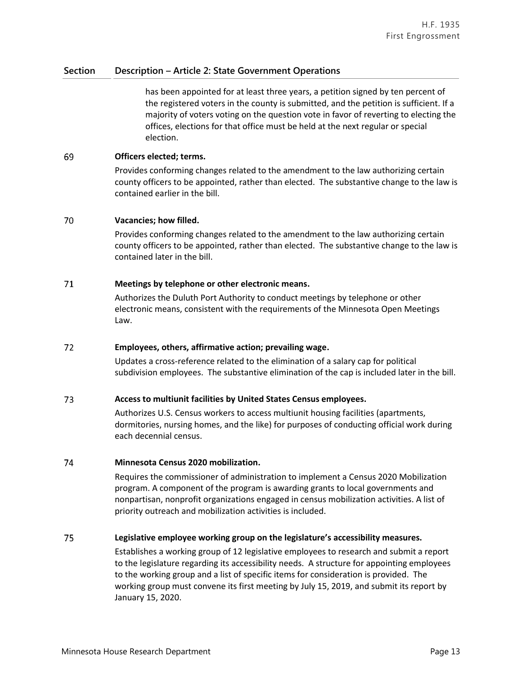has been appointed for at least three years, a petition signed by ten percent of the registered voters in the county is submitted, and the petition is sufficient. If a majority of voters voting on the question vote in favor of reverting to electing the offices, elections for that office must be held at the next regular or special election.

#### 69 **Officers elected; terms.**

Provides conforming changes related to the amendment to the law authorizing certain county officers to be appointed, rather than elected. The substantive change to the law is contained earlier in the bill.

#### 70 **Vacancies; how filled.**

Provides conforming changes related to the amendment to the law authorizing certain county officers to be appointed, rather than elected. The substantive change to the law is contained later in the bill.

#### 71 **Meetings by telephone or other electronic means.**

Authorizes the Duluth Port Authority to conduct meetings by telephone or other electronic means, consistent with the requirements of the Minnesota Open Meetings Law.

#### 72 **Employees, others, affirmative action; prevailing wage.**

Updates a cross-reference related to the elimination of a salary cap for political subdivision employees. The substantive elimination of the cap is included later in the bill.

#### 73 **Access to multiunit facilities by United States Census employees.**

Authorizes U.S. Census workers to access multiunit housing facilities (apartments, dormitories, nursing homes, and the like) for purposes of conducting official work during each decennial census.

#### 74 **Minnesota Census 2020 mobilization.**

Requires the commissioner of administration to implement a Census 2020 Mobilization program. A component of the program is awarding grants to local governments and nonpartisan, nonprofit organizations engaged in census mobilization activities. A list of priority outreach and mobilization activities is included.

#### 75 **Legislative employee working group on the legislature's accessibility measures.**

Establishes a working group of 12 legislative employees to research and submit a report to the legislature regarding its accessibility needs. A structure for appointing employees to the working group and a list of specific items for consideration is provided. The working group must convene its first meeting by July 15, 2019, and submit its report by January 15, 2020.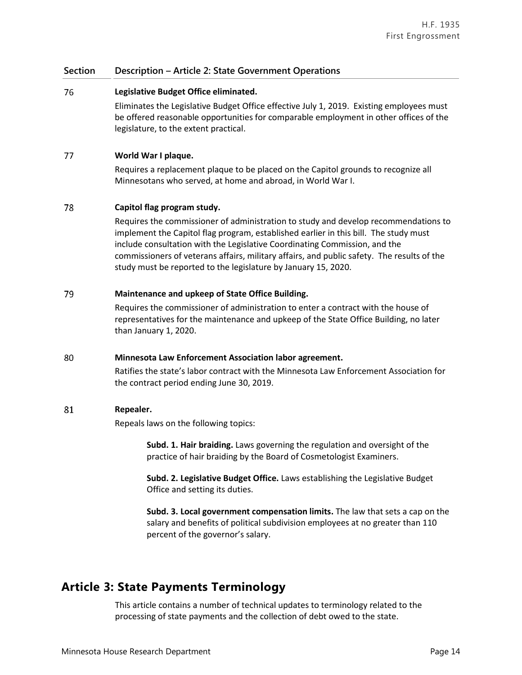#### 76 **Legislative Budget Office eliminated.**

Eliminates the Legislative Budget Office effective July 1, 2019. Existing employees must be offered reasonable opportunities for comparable employment in other offices of the legislature, to the extent practical.

#### 77 **World War I plaque.**

Requires a replacement plaque to be placed on the Capitol grounds to recognize all Minnesotans who served, at home and abroad, in World War I.

#### 78 **Capitol flag program study.**

Requires the commissioner of administration to study and develop recommendations to implement the Capitol flag program, established earlier in this bill. The study must include consultation with the Legislative Coordinating Commission, and the commissioners of veterans affairs, military affairs, and public safety. The results of the study must be reported to the legislature by January 15, 2020.

#### 79 **Maintenance and upkeep of State Office Building.**

Requires the commissioner of administration to enter a contract with the house of representatives for the maintenance and upkeep of the State Office Building, no later than January 1, 2020.

#### 80 **Minnesota Law Enforcement Association labor agreement.**

Ratifies the state's labor contract with the Minnesota Law Enforcement Association for the contract period ending June 30, 2019.

#### 81 **Repealer.**

Repeals laws on the following topics:

**Subd. 1. Hair braiding.** Laws governing the regulation and oversight of the practice of hair braiding by the Board of Cosmetologist Examiners.

**Subd. 2. Legislative Budget Office.** Laws establishing the Legislative Budget Office and setting its duties.

**Subd. 3. Local government compensation limits.** The law that sets a cap on the salary and benefits of political subdivision employees at no greater than 110 percent of the governor's salary.

# **Article 3: State Payments Terminology**

This article contains a number of technical updates to terminology related to the processing of state payments and the collection of debt owed to the state.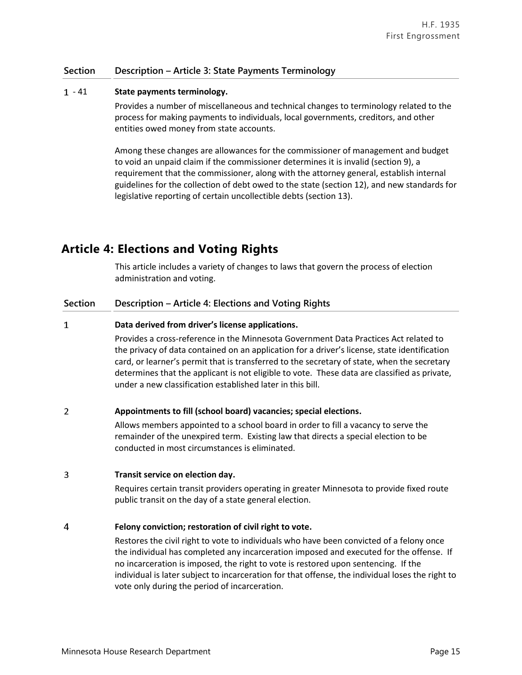### **Section Description – Article 3: State Payments Terminology**

### - 41 **State payments terminology.**

Provides a number of miscellaneous and technical changes to terminology related to the process for making payments to individuals, local governments, creditors, and other entities owed money from state accounts.

Among these changes are allowances for the commissioner of management and budget to void an unpaid claim if the commissioner determines it is invalid (section 9), a requirement that the commissioner, along with the attorney general, establish internal guidelines for the collection of debt owed to the state (section 12), and new standards for legislative reporting of certain uncollectible debts (section 13).

# **Article 4: Elections and Voting Rights**

This article includes a variety of changes to laws that govern the process of election administration and voting.

### **Section Description – Article 4: Elections and Voting Rights**

#### $\mathbf{1}$ **Data derived from driver's license applications.**

Provides a cross-reference in the Minnesota Government Data Practices Act related to the privacy of data contained on an application for a driver's license, state identification card, or learner's permit that is transferred to the secretary of state, when the secretary determines that the applicant is not eligible to vote. These data are classified as private, under a new classification established later in this bill.

#### $\overline{2}$ **Appointments to fill (school board) vacancies; special elections.**

Allows members appointed to a school board in order to fill a vacancy to serve the remainder of the unexpired term. Existing law that directs a special election to be conducted in most circumstances is eliminated.

#### 3 **Transit service on election day.**

Requires certain transit providers operating in greater Minnesota to provide fixed route public transit on the day of a state general election.

#### $\overline{4}$ **Felony conviction; restoration of civil right to vote.**

Restores the civil right to vote to individuals who have been convicted of a felony once the individual has completed any incarceration imposed and executed for the offense. If no incarceration is imposed, the right to vote is restored upon sentencing. If the individual is later subject to incarceration for that offense, the individual loses the right to vote only during the period of incarceration.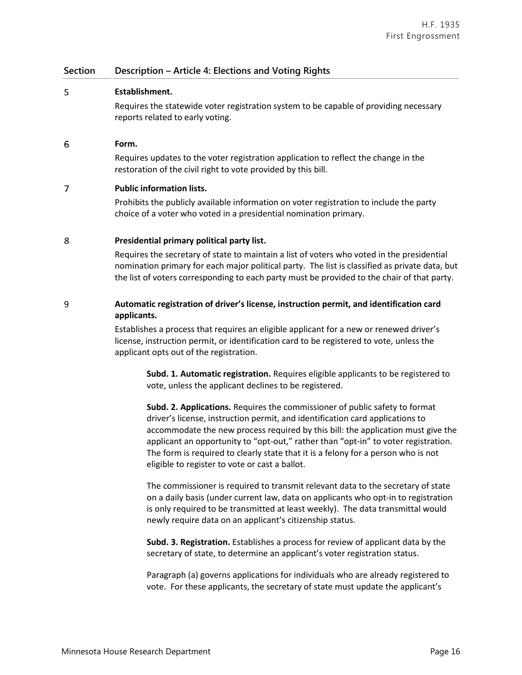#### 5 **Establishment.**

Requires the statewide voter registration system to be capable of providing necessary reports related to early voting.

#### 6 **Form.**

Requires updates to the voter registration application to reflect the change in the restoration of the civil right to vote provided by this bill.

#### $\overline{7}$ **Public information lists.**

Prohibits the publicly available information on voter registration to include the party choice of a voter who voted in a presidential nomination primary.

#### 8 **Presidential primary political party list.**

Requires the secretary of state to maintain a list of voters who voted in the presidential nomination primary for each major political party. The list is classified as private data, but the list of voters corresponding to each party must be provided to the chair of that party.

### 9 **Automatic registration of driver's license, instruction permit, and identification card applicants.**

Establishes a process that requires an eligible applicant for a new or renewed driver's license, instruction permit, or identification card to be registered to vote, unless the applicant opts out of the registration.

**Subd. 1. Automatic registration.** Requires eligible applicants to be registered to vote, unless the applicant declines to be registered.

**Subd. 2. Applications.** Requires the commissioner of public safety to format driver's license, instruction permit, and identification card applications to accommodate the new process required by this bill: the application must give the applicant an opportunity to "opt-out," rather than "opt-in" to voter registration. The form is required to clearly state that it is a felony for a person who is not eligible to register to vote or cast a ballot.

The commissioner is required to transmit relevant data to the secretary of state on a daily basis (under current law, data on applicants who opt-in to registration is only required to be transmitted at least weekly). The data transmittal would newly require data on an applicant's citizenship status.

**Subd. 3. Registration.** Establishes a process for review of applicant data by the secretary of state, to determine an applicant's voter registration status.

Paragraph (a) governs applications for individuals who are already registered to vote. For these applicants, the secretary of state must update the applicant's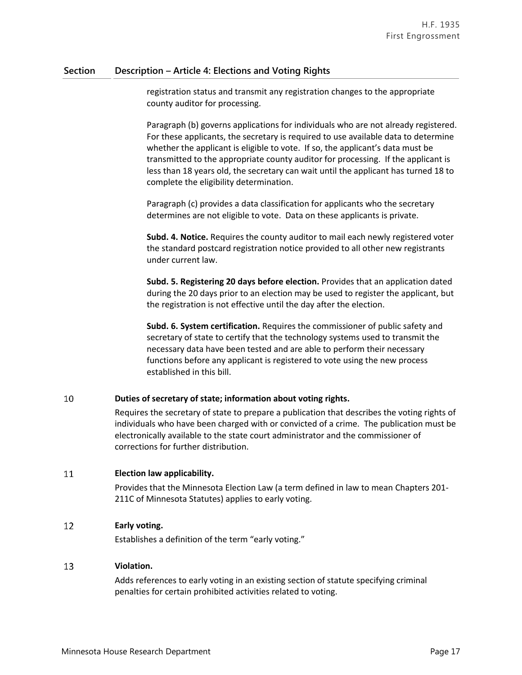registration status and transmit any registration changes to the appropriate county auditor for processing.

Paragraph (b) governs applications for individuals who are not already registered. For these applicants, the secretary is required to use available data to determine whether the applicant is eligible to vote. If so, the applicant's data must be transmitted to the appropriate county auditor for processing. If the applicant is less than 18 years old, the secretary can wait until the applicant has turned 18 to complete the eligibility determination.

Paragraph (c) provides a data classification for applicants who the secretary determines are not eligible to vote. Data on these applicants is private.

**Subd. 4. Notice.** Requires the county auditor to mail each newly registered voter the standard postcard registration notice provided to all other new registrants under current law.

**Subd. 5. Registering 20 days before election.** Provides that an application dated during the 20 days prior to an election may be used to register the applicant, but the registration is not effective until the day after the election.

**Subd. 6. System certification.** Requires the commissioner of public safety and secretary of state to certify that the technology systems used to transmit the necessary data have been tested and are able to perform their necessary functions before any applicant is registered to vote using the new process established in this bill.

#### 10 **Duties of secretary of state; information about voting rights.**

Requires the secretary of state to prepare a publication that describes the voting rights of individuals who have been charged with or convicted of a crime. The publication must be electronically available to the state court administrator and the commissioner of corrections for further distribution.

#### 11 **Election law applicability.**

Provides that the Minnesota Election Law (a term defined in law to mean Chapters 201- 211C of Minnesota Statutes) applies to early voting.

#### 12 **Early voting.**

Establishes a definition of the term "early voting."

#### 13 **Violation.**

Adds references to early voting in an existing section of statute specifying criminal penalties for certain prohibited activities related to voting.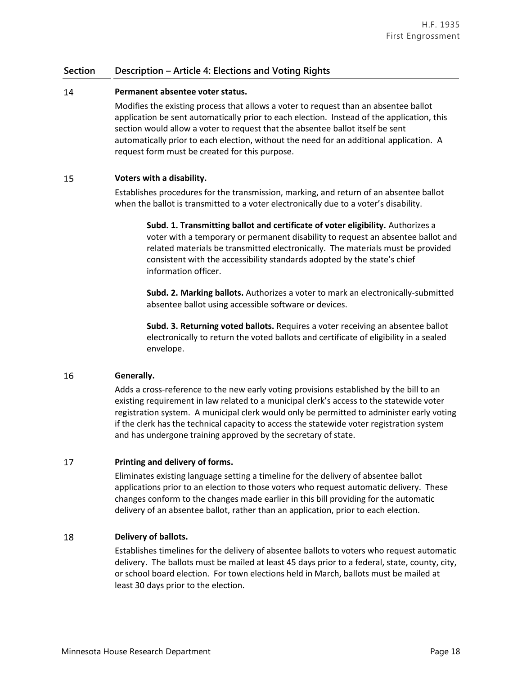#### 14 **Permanent absentee voter status.**

Modifies the existing process that allows a voter to request than an absentee ballot application be sent automatically prior to each election. Instead of the application, this section would allow a voter to request that the absentee ballot itself be sent automatically prior to each election, without the need for an additional application. A request form must be created for this purpose.

#### 15 **Voters with a disability.**

Establishes procedures for the transmission, marking, and return of an absentee ballot when the ballot is transmitted to a voter electronically due to a voter's disability.

**Subd. 1. Transmitting ballot and certificate of voter eligibility.** Authorizes a voter with a temporary or permanent disability to request an absentee ballot and related materials be transmitted electronically. The materials must be provided consistent with the accessibility standards adopted by the state's chief information officer.

**Subd. 2. Marking ballots.** Authorizes a voter to mark an electronically-submitted absentee ballot using accessible software or devices.

**Subd. 3. Returning voted ballots.** Requires a voter receiving an absentee ballot electronically to return the voted ballots and certificate of eligibility in a sealed envelope.

#### 16 **Generally.**

Adds a cross-reference to the new early voting provisions established by the bill to an existing requirement in law related to a municipal clerk's access to the statewide voter registration system. A municipal clerk would only be permitted to administer early voting if the clerk has the technical capacity to access the statewide voter registration system and has undergone training approved by the secretary of state.

#### 17 **Printing and delivery of forms.**

Eliminates existing language setting a timeline for the delivery of absentee ballot applications prior to an election to those voters who request automatic delivery. These changes conform to the changes made earlier in this bill providing for the automatic delivery of an absentee ballot, rather than an application, prior to each election.

#### 18 **Delivery of ballots.**

Establishes timelines for the delivery of absentee ballots to voters who request automatic delivery. The ballots must be mailed at least 45 days prior to a federal, state, county, city, or school board election. For town elections held in March, ballots must be mailed at least 30 days prior to the election.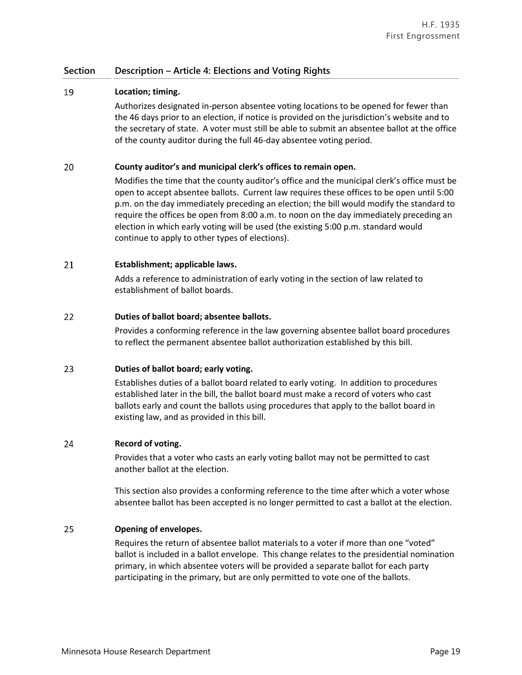#### 19 **Location; timing.**

Authorizes designated in-person absentee voting locations to be opened for fewer than the 46 days prior to an election, if notice is provided on the jurisdiction's website and to the secretary of state. A voter must still be able to submit an absentee ballot at the office of the county auditor during the full 46-day absentee voting period.

#### 20 **County auditor's and municipal clerk's offices to remain open.**

Modifies the time that the county auditor's office and the municipal clerk's office must be open to accept absentee ballots. Current law requires these offices to be open until 5:00 p.m. on the day immediately preceding an election; the bill would modify the standard to require the offices be open from 8:00 a.m. to noon on the day immediately preceding an election in which early voting will be used (the existing 5:00 p.m. standard would continue to apply to other types of elections).

#### 21 **Establishment; applicable laws.**

Adds a reference to administration of early voting in the section of law related to establishment of ballot boards.

#### 22 **Duties of ballot board; absentee ballots.**

Provides a conforming reference in the law governing absentee ballot board procedures to reflect the permanent absentee ballot authorization established by this bill.

#### 23 **Duties of ballot board; early voting.**

Establishes duties of a ballot board related to early voting. In addition to procedures established later in the bill, the ballot board must make a record of voters who cast ballots early and count the ballots using procedures that apply to the ballot board in existing law, and as provided in this bill.

#### 24 **Record of voting.**

Provides that a voter who casts an early voting ballot may not be permitted to cast another ballot at the election.

This section also provides a conforming reference to the time after which a voter whose absentee ballot has been accepted is no longer permitted to cast a ballot at the election.

#### 25 **Opening of envelopes.**

Requires the return of absentee ballot materials to a voter if more than one "voted" ballot is included in a ballot envelope. This change relates to the presidential nomination primary, in which absentee voters will be provided a separate ballot for each party participating in the primary, but are only permitted to vote one of the ballots.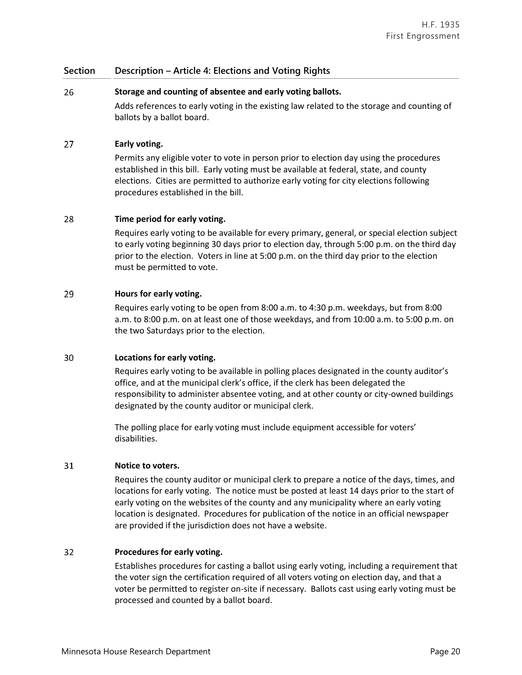#### 26 **Storage and counting of absentee and early voting ballots.**

Adds references to early voting in the existing law related to the storage and counting of ballots by a ballot board.

#### 27 **Early voting.**

Permits any eligible voter to vote in person prior to election day using the procedures established in this bill. Early voting must be available at federal, state, and county elections. Cities are permitted to authorize early voting for city elections following procedures established in the bill.

#### 28 **Time period for early voting.**

Requires early voting to be available for every primary, general, or special election subject to early voting beginning 30 days prior to election day, through 5:00 p.m. on the third day prior to the election. Voters in line at 5:00 p.m. on the third day prior to the election must be permitted to vote.

#### 29 **Hours for early voting.**

Requires early voting to be open from 8:00 a.m. to 4:30 p.m. weekdays, but from 8:00 a.m. to 8:00 p.m. on at least one of those weekdays, and from 10:00 a.m. to 5:00 p.m. on the two Saturdays prior to the election.

#### 30 **Locations for early voting.**

Requires early voting to be available in polling places designated in the county auditor's office, and at the municipal clerk's office, if the clerk has been delegated the responsibility to administer absentee voting, and at other county or city-owned buildings designated by the county auditor or municipal clerk.

The polling place for early voting must include equipment accessible for voters' disabilities.

#### 31 **Notice to voters.**

Requires the county auditor or municipal clerk to prepare a notice of the days, times, and locations for early voting. The notice must be posted at least 14 days prior to the start of early voting on the websites of the county and any municipality where an early voting location is designated. Procedures for publication of the notice in an official newspaper are provided if the jurisdiction does not have a website.

#### 32 **Procedures for early voting.**

Establishes procedures for casting a ballot using early voting, including a requirement that the voter sign the certification required of all voters voting on election day, and that a voter be permitted to register on-site if necessary. Ballots cast using early voting must be processed and counted by a ballot board.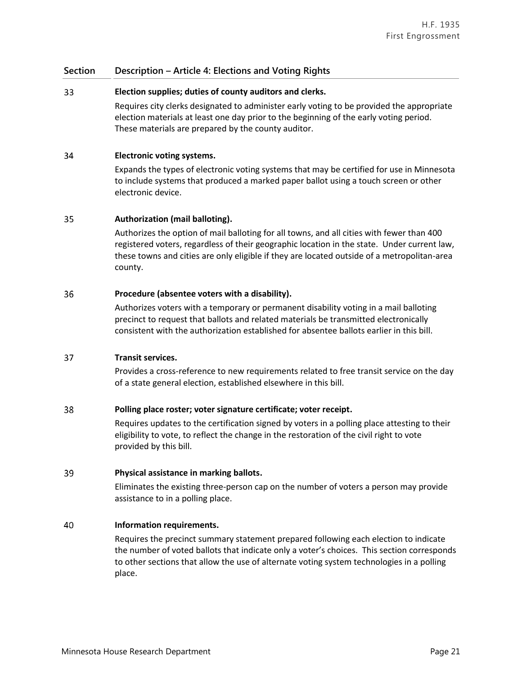#### 33 **Election supplies; duties of county auditors and clerks.**

Requires city clerks designated to administer early voting to be provided the appropriate election materials at least one day prior to the beginning of the early voting period. These materials are prepared by the county auditor.

#### 34 **Electronic voting systems.**

Expands the types of electronic voting systems that may be certified for use in Minnesota to include systems that produced a marked paper ballot using a touch screen or other electronic device.

#### 35 **Authorization (mail balloting).**

Authorizes the option of mail balloting for all towns, and all cities with fewer than 400 registered voters, regardless of their geographic location in the state. Under current law, these towns and cities are only eligible if they are located outside of a metropolitan-area county.

#### 36 **Procedure (absentee voters with a disability).**

Authorizes voters with a temporary or permanent disability voting in a mail balloting precinct to request that ballots and related materials be transmitted electronically consistent with the authorization established for absentee ballots earlier in this bill.

#### 37 **Transit services.**

Provides a cross-reference to new requirements related to free transit service on the day of a state general election, established elsewhere in this bill.

#### 38 **Polling place roster; voter signature certificate; voter receipt.**

Requires updates to the certification signed by voters in a polling place attesting to their eligibility to vote, to reflect the change in the restoration of the civil right to vote provided by this bill.

#### 39 **Physical assistance in marking ballots.**

Eliminates the existing three-person cap on the number of voters a person may provide assistance to in a polling place.

#### 40 **Information requirements.**

Requires the precinct summary statement prepared following each election to indicate the number of voted ballots that indicate only a voter's choices. This section corresponds to other sections that allow the use of alternate voting system technologies in a polling place.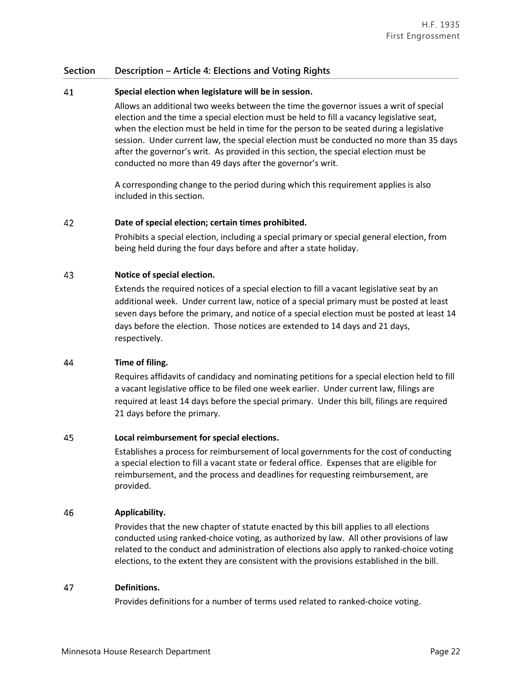#### 41 **Special election when legislature will be in session.**

Allows an additional two weeks between the time the governor issues a writ of special election and the time a special election must be held to fill a vacancy legislative seat, when the election must be held in time for the person to be seated during a legislative session. Under current law, the special election must be conducted no more than 35 days after the governor's writ. As provided in this section, the special election must be conducted no more than 49 days after the governor's writ.

A corresponding change to the period during which this requirement applies is also included in this section.

#### 42 **Date of special election; certain times prohibited.**

Prohibits a special election, including a special primary or special general election, from being held during the four days before and after a state holiday.

#### 43 **Notice of special election.**

Extends the required notices of a special election to fill a vacant legislative seat by an additional week. Under current law, notice of a special primary must be posted at least seven days before the primary, and notice of a special election must be posted at least 14 days before the election. Those notices are extended to 14 days and 21 days, respectively.

#### 44 **Time of filing.**

Requires affidavits of candidacy and nominating petitions for a special election held to fill a vacant legislative office to be filed one week earlier. Under current law, filings are required at least 14 days before the special primary. Under this bill, filings are required 21 days before the primary.

#### 45 **Local reimbursement for special elections.**

Establishes a process for reimbursement of local governments for the cost of conducting a special election to fill a vacant state or federal office. Expenses that are eligible for reimbursement, and the process and deadlines for requesting reimbursement, are provided.

#### 46 **Applicability.**

Provides that the new chapter of statute enacted by this bill applies to all elections conducted using ranked-choice voting, as authorized by law. All other provisions of law related to the conduct and administration of elections also apply to ranked-choice voting elections, to the extent they are consistent with the provisions established in the bill.

#### 47 **Definitions.**

Provides definitions for a number of terms used related to ranked-choice voting.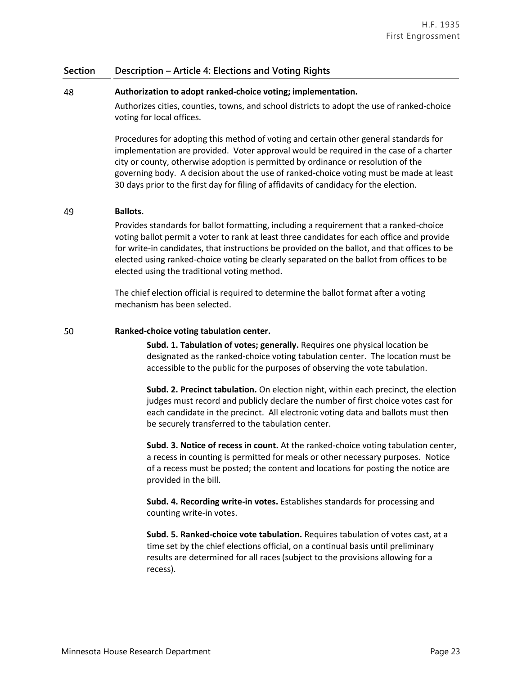#### 48 **Authorization to adopt ranked-choice voting; implementation.**

Authorizes cities, counties, towns, and school districts to adopt the use of ranked-choice voting for local offices.

Procedures for adopting this method of voting and certain other general standards for implementation are provided. Voter approval would be required in the case of a charter city or county, otherwise adoption is permitted by ordinance or resolution of the governing body. A decision about the use of ranked-choice voting must be made at least 30 days prior to the first day for filing of affidavits of candidacy for the election.

#### 49 **Ballots.**

Provides standards for ballot formatting, including a requirement that a ranked-choice voting ballot permit a voter to rank at least three candidates for each office and provide for write-in candidates, that instructions be provided on the ballot, and that offices to be elected using ranked-choice voting be clearly separated on the ballot from offices to be elected using the traditional voting method.

The chief election official is required to determine the ballot format after a voting mechanism has been selected.

#### 50 **Ranked-choice voting tabulation center.**

**Subd. 1. Tabulation of votes; generally.** Requires one physical location be designated as the ranked-choice voting tabulation center. The location must be accessible to the public for the purposes of observing the vote tabulation.

**Subd. 2. Precinct tabulation.** On election night, within each precinct, the election judges must record and publicly declare the number of first choice votes cast for each candidate in the precinct. All electronic voting data and ballots must then be securely transferred to the tabulation center.

**Subd. 3. Notice of recess in count.** At the ranked-choice voting tabulation center, a recess in counting is permitted for meals or other necessary purposes. Notice of a recess must be posted; the content and locations for posting the notice are provided in the bill.

**Subd. 4. Recording write-in votes.** Establishes standards for processing and counting write-in votes.

**Subd. 5. Ranked-choice vote tabulation.** Requires tabulation of votes cast, at a time set by the chief elections official, on a continual basis until preliminary results are determined for all races (subject to the provisions allowing for a recess).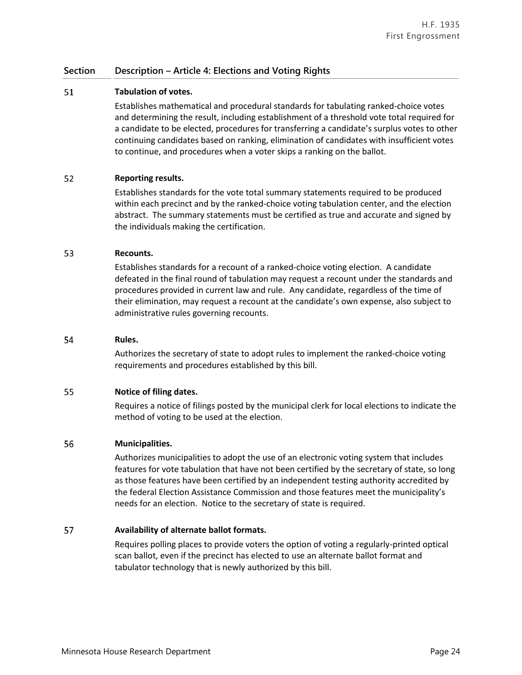#### 51 **Tabulation of votes.**

Establishes mathematical and procedural standards for tabulating ranked-choice votes and determining the result, including establishment of a threshold vote total required for a candidate to be elected, procedures for transferring a candidate's surplus votes to other continuing candidates based on ranking, elimination of candidates with insufficient votes to continue, and procedures when a voter skips a ranking on the ballot.

#### 52 **Reporting results.**

Establishes standards for the vote total summary statements required to be produced within each precinct and by the ranked-choice voting tabulation center, and the election abstract. The summary statements must be certified as true and accurate and signed by the individuals making the certification.

#### 53 **Recounts.**

Establishes standards for a recount of a ranked-choice voting election. A candidate defeated in the final round of tabulation may request a recount under the standards and procedures provided in current law and rule. Any candidate, regardless of the time of their elimination, may request a recount at the candidate's own expense, also subject to administrative rules governing recounts.

#### 54 **Rules.**

Authorizes the secretary of state to adopt rules to implement the ranked-choice voting requirements and procedures established by this bill.

#### 55 **Notice of filing dates.**

Requires a notice of filings posted by the municipal clerk for local elections to indicate the method of voting to be used at the election.

#### 56 **Municipalities.**

Authorizes municipalities to adopt the use of an electronic voting system that includes features for vote tabulation that have not been certified by the secretary of state, so long as those features have been certified by an independent testing authority accredited by the federal Election Assistance Commission and those features meet the municipality's needs for an election. Notice to the secretary of state is required.

#### 57 **Availability of alternate ballot formats.**

Requires polling places to provide voters the option of voting a regularly-printed optical scan ballot, even if the precinct has elected to use an alternate ballot format and tabulator technology that is newly authorized by this bill.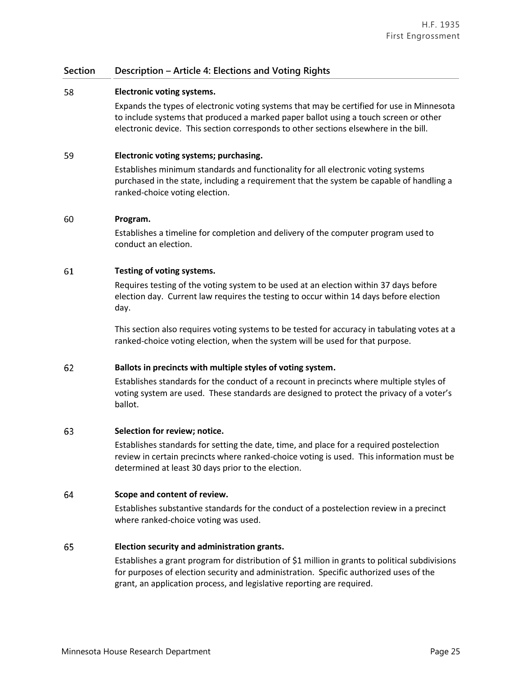#### 58 **Electronic voting systems.**

Expands the types of electronic voting systems that may be certified for use in Minnesota to include systems that produced a marked paper ballot using a touch screen or other electronic device. This section corresponds to other sections elsewhere in the bill.

#### 59 **Electronic voting systems; purchasing.**

Establishes minimum standards and functionality for all electronic voting systems purchased in the state, including a requirement that the system be capable of handling a ranked-choice voting election.

#### 60 **Program.**

Establishes a timeline for completion and delivery of the computer program used to conduct an election.

#### 61 **Testing of voting systems.**

Requires testing of the voting system to be used at an election within 37 days before election day. Current law requires the testing to occur within 14 days before election day.

This section also requires voting systems to be tested for accuracy in tabulating votes at a ranked-choice voting election, when the system will be used for that purpose.

#### 62 **Ballots in precincts with multiple styles of voting system.**

Establishes standards for the conduct of a recount in precincts where multiple styles of voting system are used. These standards are designed to protect the privacy of a voter's ballot.

#### 63 **Selection for review; notice.**

Establishes standards for setting the date, time, and place for a required postelection review in certain precincts where ranked-choice voting is used. This information must be determined at least 30 days prior to the election.

#### 64 **Scope and content of review.**

Establishes substantive standards for the conduct of a postelection review in a precinct where ranked-choice voting was used.

#### 65 **Election security and administration grants.**

Establishes a grant program for distribution of \$1 million in grants to political subdivisions for purposes of election security and administration. Specific authorized uses of the grant, an application process, and legislative reporting are required.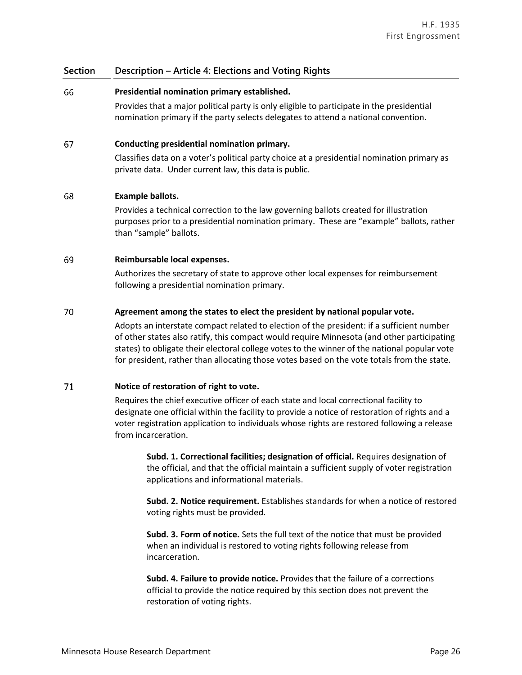#### 66 **Presidential nomination primary established.**

Provides that a major political party is only eligible to participate in the presidential nomination primary if the party selects delegates to attend a national convention.

#### 67 **Conducting presidential nomination primary.**

Classifies data on a voter's political party choice at a presidential nomination primary as private data. Under current law, this data is public.

#### 68 **Example ballots.**

Provides a technical correction to the law governing ballots created for illustration purposes prior to a presidential nomination primary. These are "example" ballots, rather than "sample" ballots.

#### 69 **Reimbursable local expenses.**

Authorizes the secretary of state to approve other local expenses for reimbursement following a presidential nomination primary.

#### 70 **Agreement among the states to elect the president by national popular vote.**

Adopts an interstate compact related to election of the president: if a sufficient number of other states also ratify, this compact would require Minnesota (and other participating states) to obligate their electoral college votes to the winner of the national popular vote for president, rather than allocating those votes based on the vote totals from the state.

#### 71 **Notice of restoration of right to vote.**

Requires the chief executive officer of each state and local correctional facility to designate one official within the facility to provide a notice of restoration of rights and a voter registration application to individuals whose rights are restored following a release from incarceration.

**Subd. 1. Correctional facilities; designation of official.** Requires designation of the official, and that the official maintain a sufficient supply of voter registration applications and informational materials.

**Subd. 2. Notice requirement.** Establishes standards for when a notice of restored voting rights must be provided.

**Subd. 3. Form of notice.** Sets the full text of the notice that must be provided when an individual is restored to voting rights following release from incarceration.

**Subd. 4. Failure to provide notice.** Provides that the failure of a corrections official to provide the notice required by this section does not prevent the restoration of voting rights.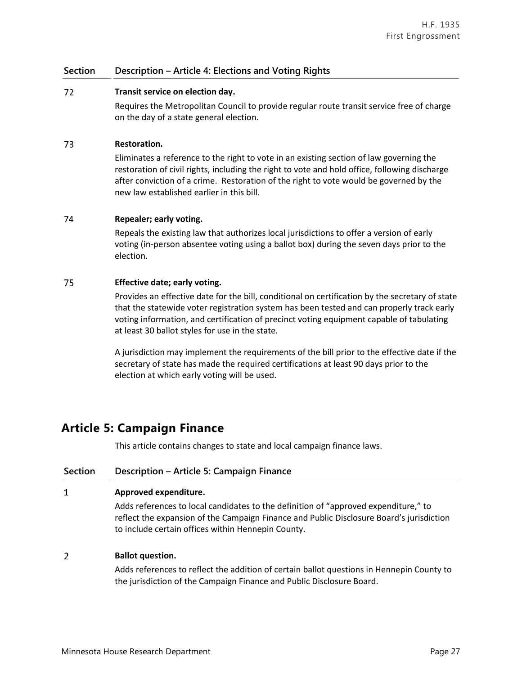#### 72 **Transit service on election day.**

Requires the Metropolitan Council to provide regular route transit service free of charge on the day of a state general election.

#### 73 **Restoration.**

Eliminates a reference to the right to vote in an existing section of law governing the restoration of civil rights, including the right to vote and hold office, following discharge after conviction of a crime. Restoration of the right to vote would be governed by the new law established earlier in this bill.

#### 74 **Repealer; early voting.**

Repeals the existing law that authorizes local jurisdictions to offer a version of early voting (in-person absentee voting using a ballot box) during the seven days prior to the election.

#### 75 **Effective date; early voting.**

Provides an effective date for the bill, conditional on certification by the secretary of state that the statewide voter registration system has been tested and can properly track early voting information, and certification of precinct voting equipment capable of tabulating at least 30 ballot styles for use in the state.

A jurisdiction may implement the requirements of the bill prior to the effective date if the secretary of state has made the required certifications at least 90 days prior to the election at which early voting will be used.

## **Article 5: Campaign Finance**

This article contains changes to state and local campaign finance laws.

| <b>Section</b> | Description - Article 5: Campaign Finance                                                                                                                                                                                             |
|----------------|---------------------------------------------------------------------------------------------------------------------------------------------------------------------------------------------------------------------------------------|
| 1              | Approved expenditure.                                                                                                                                                                                                                 |
|                | Adds references to local candidates to the definition of "approved expenditure," to<br>reflect the expansion of the Campaign Finance and Public Disclosure Board's jurisdiction<br>to include certain offices within Hennepin County. |
| 2              | <b>Ballot question.</b>                                                                                                                                                                                                               |
|                | Adds references to reflect the addition of certain ballot questions in Hennepin County to<br>the jurisdiction of the Campaign Finance and Public Disclosure Board.                                                                    |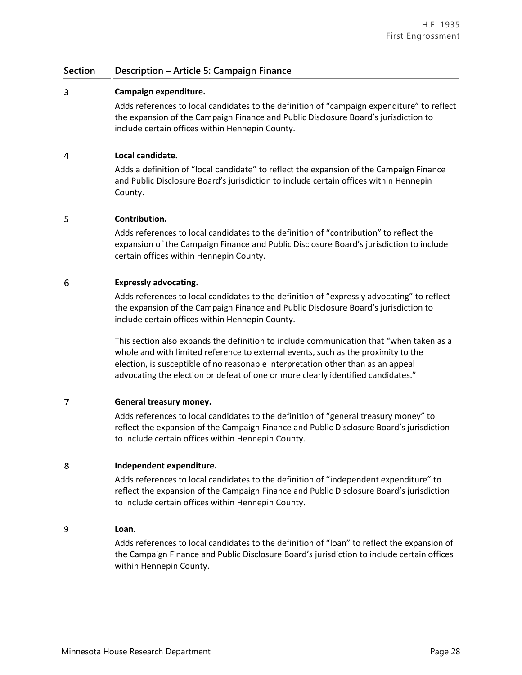#### 3 **Campaign expenditure.**

Adds references to local candidates to the definition of "campaign expenditure" to reflect the expansion of the Campaign Finance and Public Disclosure Board's jurisdiction to include certain offices within Hennepin County.

#### $\overline{4}$ **Local candidate.**

Adds a definition of "local candidate" to reflect the expansion of the Campaign Finance and Public Disclosure Board's jurisdiction to include certain offices within Hennepin County.

#### 5 **Contribution.**

Adds references to local candidates to the definition of "contribution" to reflect the expansion of the Campaign Finance and Public Disclosure Board's jurisdiction to include certain offices within Hennepin County.

#### 6 **Expressly advocating.**

Adds references to local candidates to the definition of "expressly advocating" to reflect the expansion of the Campaign Finance and Public Disclosure Board's jurisdiction to include certain offices within Hennepin County.

This section also expands the definition to include communication that "when taken as a whole and with limited reference to external events, such as the proximity to the election, is susceptible of no reasonable interpretation other than as an appeal advocating the election or defeat of one or more clearly identified candidates."

#### $\overline{7}$ **General treasury money.**

Adds references to local candidates to the definition of "general treasury money" to reflect the expansion of the Campaign Finance and Public Disclosure Board's jurisdiction to include certain offices within Hennepin County.

#### 8 **Independent expenditure.**

Adds references to local candidates to the definition of "independent expenditure" to reflect the expansion of the Campaign Finance and Public Disclosure Board's jurisdiction to include certain offices within Hennepin County.

#### 9 **Loan.**

Adds references to local candidates to the definition of "loan" to reflect the expansion of the Campaign Finance and Public Disclosure Board's jurisdiction to include certain offices within Hennepin County.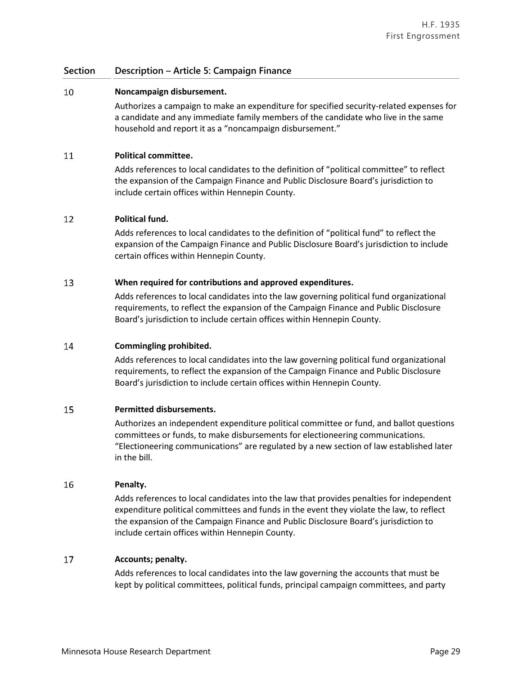#### 10 **Noncampaign disbursement.**

Authorizes a campaign to make an expenditure for specified security-related expenses for a candidate and any immediate family members of the candidate who live in the same household and report it as a "noncampaign disbursement."

#### 11 **Political committee.**

Adds references to local candidates to the definition of "political committee" to reflect the expansion of the Campaign Finance and Public Disclosure Board's jurisdiction to include certain offices within Hennepin County.

#### **Political fund.** 12

Adds references to local candidates to the definition of "political fund" to reflect the expansion of the Campaign Finance and Public Disclosure Board's jurisdiction to include certain offices within Hennepin County.

#### 13 **When required for contributions and approved expenditures.**

Adds references to local candidates into the law governing political fund organizational requirements, to reflect the expansion of the Campaign Finance and Public Disclosure Board's jurisdiction to include certain offices within Hennepin County.

#### 14 **Commingling prohibited.**

Adds references to local candidates into the law governing political fund organizational requirements, to reflect the expansion of the Campaign Finance and Public Disclosure Board's jurisdiction to include certain offices within Hennepin County.

#### 15 **Permitted disbursements.**

Authorizes an independent expenditure political committee or fund, and ballot questions committees or funds, to make disbursements for electioneering communications. "Electioneering communications" are regulated by a new section of law established later in the bill.

#### 16 **Penalty.**

Adds references to local candidates into the law that provides penalties for independent expenditure political committees and funds in the event they violate the law, to reflect the expansion of the Campaign Finance and Public Disclosure Board's jurisdiction to include certain offices within Hennepin County.

#### 17 **Accounts; penalty.**

Adds references to local candidates into the law governing the accounts that must be kept by political committees, political funds, principal campaign committees, and party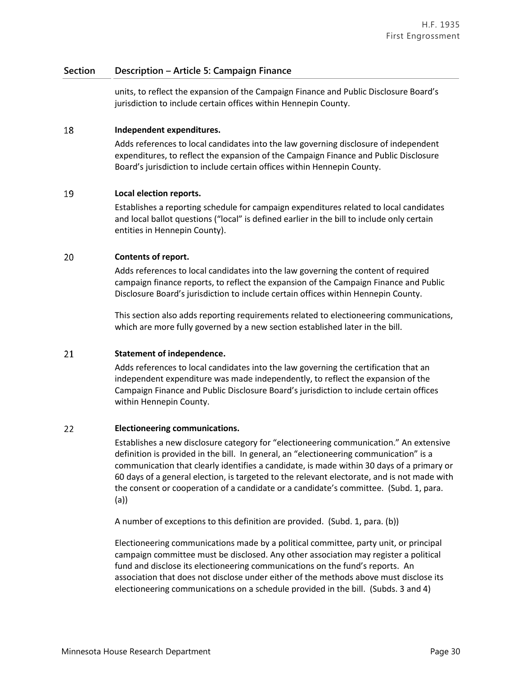units, to reflect the expansion of the Campaign Finance and Public Disclosure Board's jurisdiction to include certain offices within Hennepin County.

#### 18 **Independent expenditures.**

Adds references to local candidates into the law governing disclosure of independent expenditures, to reflect the expansion of the Campaign Finance and Public Disclosure Board's jurisdiction to include certain offices within Hennepin County.

#### 19 **Local election reports.**

Establishes a reporting schedule for campaign expenditures related to local candidates and local ballot questions ("local" is defined earlier in the bill to include only certain entities in Hennepin County).

#### 20 **Contents of report.**

Adds references to local candidates into the law governing the content of required campaign finance reports, to reflect the expansion of the Campaign Finance and Public Disclosure Board's jurisdiction to include certain offices within Hennepin County.

This section also adds reporting requirements related to electioneering communications, which are more fully governed by a new section established later in the bill.

#### 21 **Statement of independence.**

Adds references to local candidates into the law governing the certification that an independent expenditure was made independently, to reflect the expansion of the Campaign Finance and Public Disclosure Board's jurisdiction to include certain offices within Hennepin County.

#### 22 **Electioneering communications.**

Establishes a new disclosure category for "electioneering communication." An extensive definition is provided in the bill. In general, an "electioneering communication" is a communication that clearly identifies a candidate, is made within 30 days of a primary or 60 days of a general election, is targeted to the relevant electorate, and is not made with the consent or cooperation of a candidate or a candidate's committee. (Subd. 1, para. (a))

A number of exceptions to this definition are provided. (Subd. 1, para. (b))

Electioneering communications made by a political committee, party unit, or principal campaign committee must be disclosed. Any other association may register a political fund and disclose its electioneering communications on the fund's reports. An association that does not disclose under either of the methods above must disclose its electioneering communications on a schedule provided in the bill. (Subds. 3 and 4)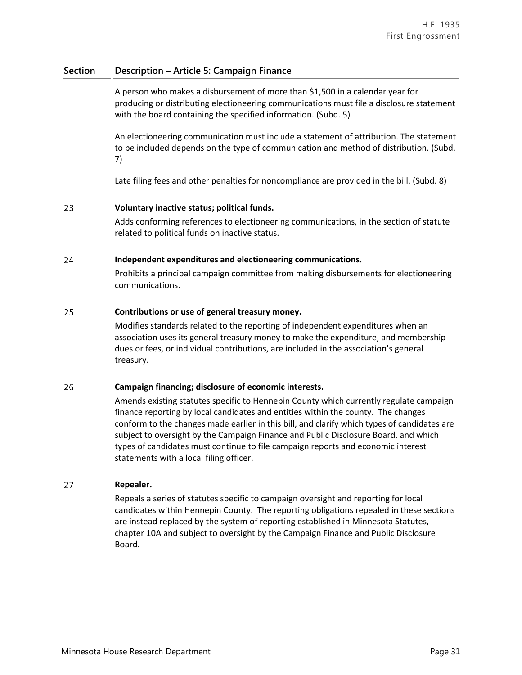A person who makes a disbursement of more than \$1,500 in a calendar year for producing or distributing electioneering communications must file a disclosure statement with the board containing the specified information. (Subd. 5)

An electioneering communication must include a statement of attribution. The statement to be included depends on the type of communication and method of distribution. (Subd. 7)

Late filing fees and other penalties for noncompliance are provided in the bill. (Subd. 8)

#### 23 **Voluntary inactive status; political funds.**

Adds conforming references to electioneering communications, in the section of statute related to political funds on inactive status.

#### 24 **Independent expenditures and electioneering communications.**

Prohibits a principal campaign committee from making disbursements for electioneering communications.

#### 25 **Contributions or use of general treasury money.**

Modifies standards related to the reporting of independent expenditures when an association uses its general treasury money to make the expenditure, and membership dues or fees, or individual contributions, are included in the association's general treasury.

#### 26 **Campaign financing; disclosure of economic interests.**

Amends existing statutes specific to Hennepin County which currently regulate campaign finance reporting by local candidates and entities within the county. The changes conform to the changes made earlier in this bill, and clarify which types of candidates are subject to oversight by the Campaign Finance and Public Disclosure Board, and which types of candidates must continue to file campaign reports and economic interest statements with a local filing officer.

#### 27 **Repealer.**

Repeals a series of statutes specific to campaign oversight and reporting for local candidates within Hennepin County. The reporting obligations repealed in these sections are instead replaced by the system of reporting established in Minnesota Statutes, chapter 10A and subject to oversight by the Campaign Finance and Public Disclosure Board.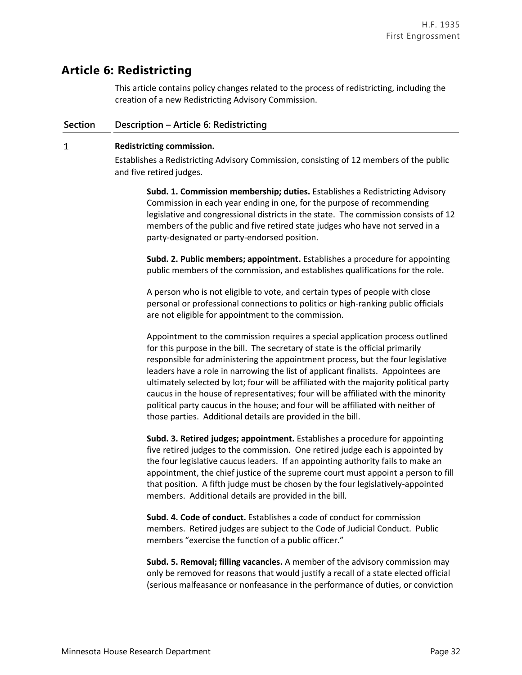# **Article 6: Redistricting**

This article contains policy changes related to the process of redistricting, including the creation of a new Redistricting Advisory Commission.

### **Section Description – Article 6: Redistricting**

#### $\mathbf{1}$ **Redistricting commission.**

Establishes a Redistricting Advisory Commission, consisting of 12 members of the public and five retired judges.

**Subd. 1. Commission membership; duties.** Establishes a Redistricting Advisory Commission in each year ending in one, for the purpose of recommending legislative and congressional districts in the state. The commission consists of 12 members of the public and five retired state judges who have not served in a party-designated or party-endorsed position.

**Subd. 2. Public members; appointment.** Establishes a procedure for appointing public members of the commission, and establishes qualifications for the role.

A person who is not eligible to vote, and certain types of people with close personal or professional connections to politics or high-ranking public officials are not eligible for appointment to the commission.

Appointment to the commission requires a special application process outlined for this purpose in the bill. The secretary of state is the official primarily responsible for administering the appointment process, but the four legislative leaders have a role in narrowing the list of applicant finalists. Appointees are ultimately selected by lot; four will be affiliated with the majority political party caucus in the house of representatives; four will be affiliated with the minority political party caucus in the house; and four will be affiliated with neither of those parties. Additional details are provided in the bill.

**Subd. 3. Retired judges; appointment.** Establishes a procedure for appointing five retired judges to the commission. One retired judge each is appointed by the four legislative caucus leaders. If an appointing authority fails to make an appointment, the chief justice of the supreme court must appoint a person to fill that position. A fifth judge must be chosen by the four legislatively-appointed members. Additional details are provided in the bill.

**Subd. 4. Code of conduct.** Establishes a code of conduct for commission members. Retired judges are subject to the Code of Judicial Conduct. Public members "exercise the function of a public officer."

**Subd. 5. Removal; filling vacancies.** A member of the advisory commission may only be removed for reasons that would justify a recall of a state elected official (serious malfeasance or nonfeasance in the performance of duties, or conviction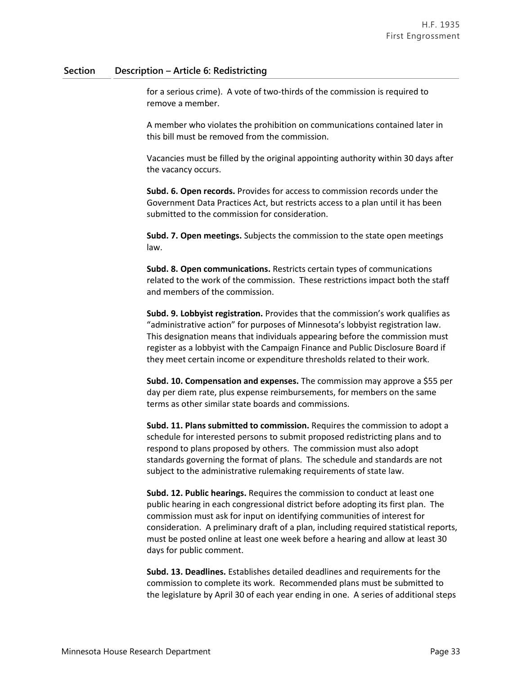for a serious crime). A vote of two-thirds of the commission is required to remove a member.

A member who violates the prohibition on communications contained later in this bill must be removed from the commission.

Vacancies must be filled by the original appointing authority within 30 days after the vacancy occurs.

**Subd. 6. Open records.** Provides for access to commission records under the Government Data Practices Act, but restricts access to a plan until it has been submitted to the commission for consideration.

**Subd. 7. Open meetings.** Subjects the commission to the state open meetings law.

**Subd. 8. Open communications.** Restricts certain types of communications related to the work of the commission. These restrictions impact both the staff and members of the commission.

**Subd. 9. Lobbyist registration.** Provides that the commission's work qualifies as "administrative action" for purposes of Minnesota's lobbyist registration law. This designation means that individuals appearing before the commission must register as a lobbyist with the Campaign Finance and Public Disclosure Board if they meet certain income or expenditure thresholds related to their work.

**Subd. 10. Compensation and expenses.** The commission may approve a \$55 per day per diem rate, plus expense reimbursements, for members on the same terms as other similar state boards and commissions.

**Subd. 11. Plans submitted to commission.** Requires the commission to adopt a schedule for interested persons to submit proposed redistricting plans and to respond to plans proposed by others. The commission must also adopt standards governing the format of plans. The schedule and standards are not subject to the administrative rulemaking requirements of state law.

**Subd. 12. Public hearings.** Requires the commission to conduct at least one public hearing in each congressional district before adopting its first plan. The commission must ask for input on identifying communities of interest for consideration. A preliminary draft of a plan, including required statistical reports, must be posted online at least one week before a hearing and allow at least 30 days for public comment.

**Subd. 13. Deadlines.** Establishes detailed deadlines and requirements for the commission to complete its work. Recommended plans must be submitted to the legislature by April 30 of each year ending in one. A series of additional steps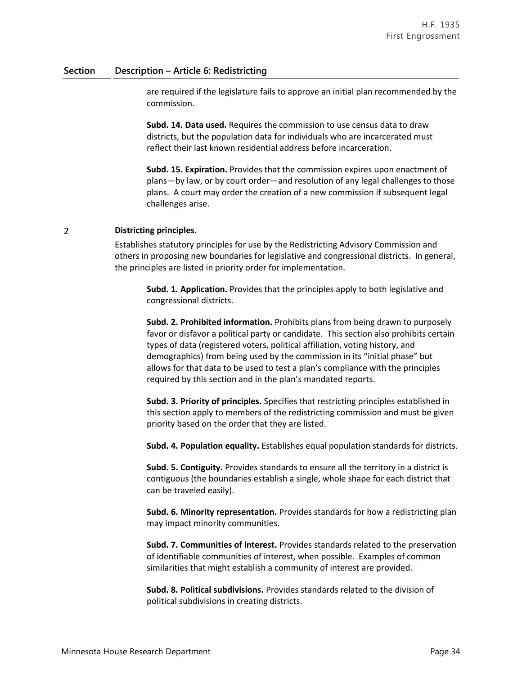are required if the legislature fails to approve an initial plan recommended by the commission.

**Subd. 14. Data used.** Requires the commission to use census data to draw districts, but the population data for individuals who are incarcerated must reflect their last known residential address before incarceration.

**Subd. 15. Expiration.** Provides that the commission expires upon enactment of plans—by law, or by court order—and resolution of any legal challenges to those plans. A court may order the creation of a new commission if subsequent legal challenges arise.

#### $\overline{2}$ **Districting principles.**

Establishes statutory principles for use by the Redistricting Advisory Commission and others in proposing new boundaries for legislative and congressional districts. In general, the principles are listed in priority order for implementation.

**Subd. 1. Application.** Provides that the principles apply to both legislative and congressional districts.

**Subd. 2. Prohibited information.** Prohibits plans from being drawn to purposely favor or disfavor a political party or candidate. This section also prohibits certain types of data (registered voters, political affiliation, voting history, and demographics) from being used by the commission in its "initial phase" but allows for that data to be used to test a plan's compliance with the principles required by this section and in the plan's mandated reports.

**Subd. 3. Priority of principles.** Specifies that restricting principles established in this section apply to members of the redistricting commission and must be given priority based on the order that they are listed.

**Subd. 4. Population equality.** Establishes equal population standards for districts.

**Subd. 5. Contiguity.** Provides standards to ensure all the territory in a district is contiguous (the boundaries establish a single, whole shape for each district that can be traveled easily).

**Subd. 6. Minority representation.** Provides standards for how a redistricting plan may impact minority communities.

**Subd. 7. Communities of interest.** Provides standards related to the preservation of identifiable communities of interest, when possible. Examples of common similarities that might establish a community of interest are provided.

**Subd. 8. Political subdivisions.** Provides standards related to the division of political subdivisions in creating districts.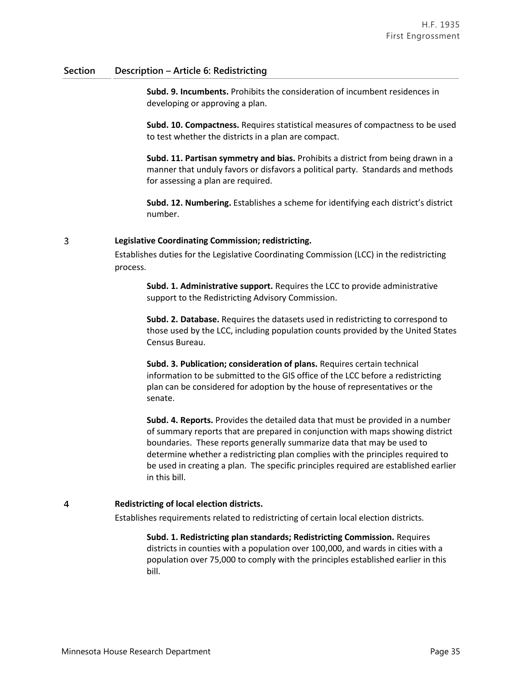**Subd. 9. Incumbents.** Prohibits the consideration of incumbent residences in developing or approving a plan.

**Subd. 10. Compactness.** Requires statistical measures of compactness to be used to test whether the districts in a plan are compact.

**Subd. 11. Partisan symmetry and bias.** Prohibits a district from being drawn in a manner that unduly favors or disfavors a political party. Standards and methods for assessing a plan are required.

**Subd. 12. Numbering.** Establishes a scheme for identifying each district's district number.

#### $\overline{3}$ **Legislative Coordinating Commission; redistricting.**

Establishes duties for the Legislative Coordinating Commission (LCC) in the redistricting process.

**Subd. 1. Administrative support.** Requires the LCC to provide administrative support to the Redistricting Advisory Commission.

**Subd. 2. Database.** Requires the datasets used in redistricting to correspond to those used by the LCC, including population counts provided by the United States Census Bureau.

**Subd. 3. Publication; consideration of plans.** Requires certain technical information to be submitted to the GIS office of the LCC before a redistricting plan can be considered for adoption by the house of representatives or the senate.

**Subd. 4. Reports.** Provides the detailed data that must be provided in a number of summary reports that are prepared in conjunction with maps showing district boundaries. These reports generally summarize data that may be used to determine whether a redistricting plan complies with the principles required to be used in creating a plan. The specific principles required are established earlier in this bill.

#### 4 **Redistricting of local election districts.**

Establishes requirements related to redistricting of certain local election districts.

**Subd. 1. Redistricting plan standards; Redistricting Commission.** Requires districts in counties with a population over 100,000, and wards in cities with a population over 75,000 to comply with the principles established earlier in this bill.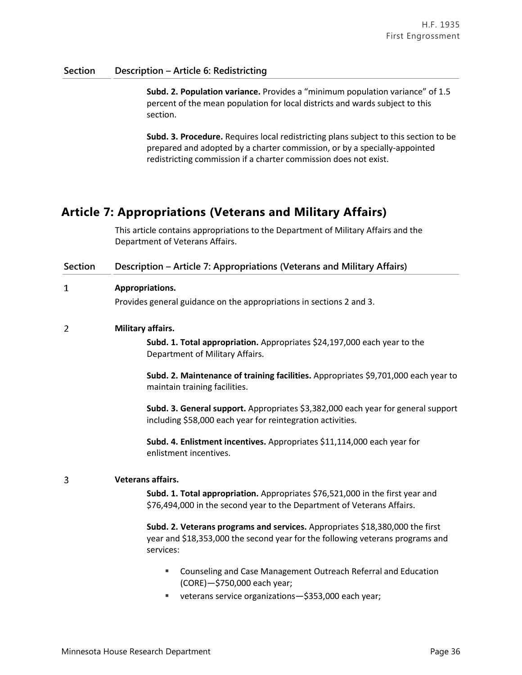**Subd. 2. Population variance.** Provides a "minimum population variance" of 1.5 percent of the mean population for local districts and wards subject to this section.

**Subd. 3. Procedure.** Requires local redistricting plans subject to this section to be prepared and adopted by a charter commission, or by a specially-appointed redistricting commission if a charter commission does not exist.

# **Article 7: Appropriations (Veterans and Military Affairs)**

This article contains appropriations to the Department of Military Affairs and the Department of Veterans Affairs.

| Section        | Description - Article 7: Appropriations (Veterans and Military Affairs)                                                                                                                                                                                                                                                                                                                                                                                                                                                   |
|----------------|---------------------------------------------------------------------------------------------------------------------------------------------------------------------------------------------------------------------------------------------------------------------------------------------------------------------------------------------------------------------------------------------------------------------------------------------------------------------------------------------------------------------------|
| 1              | Appropriations.<br>Provides general guidance on the appropriations in sections 2 and 3.                                                                                                                                                                                                                                                                                                                                                                                                                                   |
| $\overline{2}$ | Military affairs.<br>Subd. 1. Total appropriation. Appropriates \$24,197,000 each year to the<br>Department of Military Affairs.<br>Subd. 2. Maintenance of training facilities. Appropriates \$9,701,000 each year to<br>maintain training facilities.<br>Subd. 3. General support. Appropriates \$3,382,000 each year for general support                                                                                                                                                                               |
|                | including \$58,000 each year for reintegration activities.<br>Subd. 4. Enlistment incentives. Appropriates \$11,114,000 each year for<br>enlistment incentives.                                                                                                                                                                                                                                                                                                                                                           |
| 3              | <b>Veterans affairs.</b><br>Subd. 1. Total appropriation. Appropriates \$76,521,000 in the first year and<br>\$76,494,000 in the second year to the Department of Veterans Affairs.<br>Subd. 2. Veterans programs and services. Appropriates \$18,380,000 the first<br>year and \$18,353,000 the second year for the following veterans programs and<br>services:<br>Counseling and Case Management Outreach Referral and Education<br>(CORE)-\$750,000 each year;<br>veterans service organizations-\$353,000 each year; |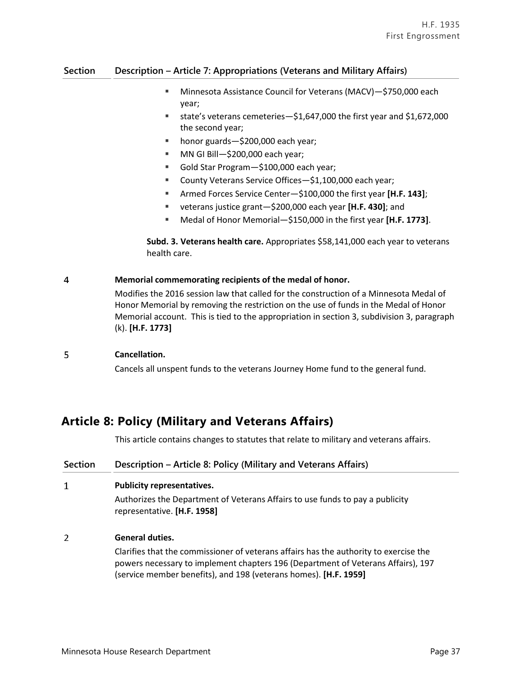### **Section Description – Article 7: Appropriations (Veterans and Military Affairs)**

- Minnesota Assistance Council for Veterans (MACV)—\$750,000 each year;
- state's veterans cemeteries—\$1,647,000 the first year and \$1,672,000 the second year;
- honor guards—\$200,000 each year;
- MN GI Bill—\$200,000 each year;
- Gold Star Program—\$100,000 each year;
- County Veterans Service Offices—\$1,100,000 each year;
- Armed Forces Service Center—\$100,000 the first year **[H.F. 143]**;
- veterans justice grant—\$200,000 each year **[H.F. 430]**; and
- Medal of Honor Memorial—\$150,000 in the first year **[H.F. 1773]**.

**Subd. 3. Veterans health care.** Appropriates \$58,141,000 each year to veterans health care.

#### $\overline{4}$ **Memorial commemorating recipients of the medal of honor.**

Modifies the 2016 session law that called for the construction of a Minnesota Medal of Honor Memorial by removing the restriction on the use of funds in the Medal of Honor Memorial account. This is tied to the appropriation in section 3, subdivision 3, paragraph (k). **[H.F. 1773]**

#### 5 **Cancellation.**

Cancels all unspent funds to the veterans Journey Home fund to the general fund.

## **Article 8: Policy (Military and Veterans Affairs)**

This article contains changes to statutes that relate to military and veterans affairs.

| <b>Section</b> | Description – Article 8: Policy (Military and Veterans Affairs)                                                                                                                                                                               |
|----------------|-----------------------------------------------------------------------------------------------------------------------------------------------------------------------------------------------------------------------------------------------|
| 1              | <b>Publicity representatives.</b>                                                                                                                                                                                                             |
|                | Authorizes the Department of Veterans Affairs to use funds to pay a publicity<br>representative. [H.F. 1958]                                                                                                                                  |
| 2              | <b>General duties.</b>                                                                                                                                                                                                                        |
|                | Clarifies that the commissioner of veterans affairs has the authority to exercise the<br>powers necessary to implement chapters 196 (Department of Veterans Affairs), 197<br>(service member benefits), and 198 (veterans homes). [H.F. 1959] |
|                |                                                                                                                                                                                                                                               |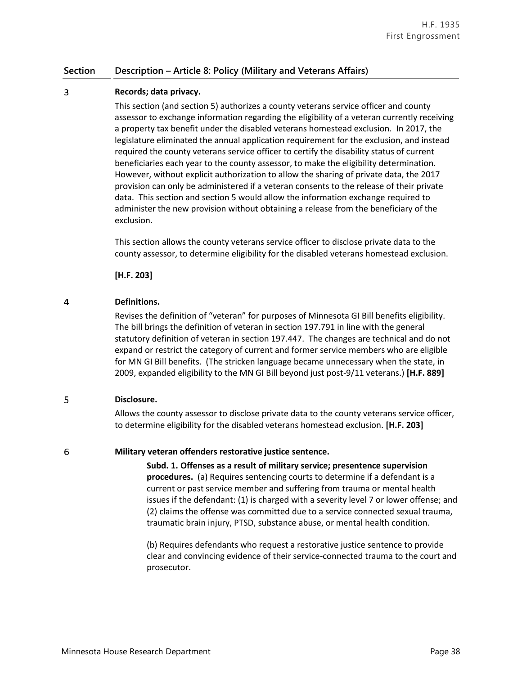## **Section Description – Article 8: Policy (Military and Veterans Affairs)**

#### $\overline{3}$ **Records; data privacy.**

This section (and section 5) authorizes a county veterans service officer and county assessor to exchange information regarding the eligibility of a veteran currently receiving a property tax benefit under the disabled veterans homestead exclusion. In 2017, the legislature eliminated the annual application requirement for the exclusion, and instead required the county veterans service officer to certify the disability status of current beneficiaries each year to the county assessor, to make the eligibility determination. However, without explicit authorization to allow the sharing of private data, the 2017 provision can only be administered if a veteran consents to the release of their private data. This section and section 5 would allow the information exchange required to administer the new provision without obtaining a release from the beneficiary of the exclusion.

This section allows the county veterans service officer to disclose private data to the county assessor, to determine eligibility for the disabled veterans homestead exclusion.

**[H.F. 203]**

#### **Definitions.**  4

Revises the definition of "veteran" for purposes of Minnesota GI Bill benefits eligibility. The bill brings the definition of veteran in section 197.791 in line with the general statutory definition of veteran in section 197.447. The changes are technical and do not expand or restrict the category of current and former service members who are eligible for MN GI Bill benefits. (The stricken language became unnecessary when the state, in 2009, expanded eligibility to the MN GI Bill beyond just post-9/11 veterans.) **[H.F. 889]**

#### 5 **Disclosure.**

Allows the county assessor to disclose private data to the county veterans service officer, to determine eligibility for the disabled veterans homestead exclusion. **[H.F. 203]**

6

### **Military veteran offenders restorative justice sentence.**

**Subd. 1. Offenses as a result of military service; presentence supervision procedures.** (a) Requires sentencing courts to determine if a defendant is a current or past service member and suffering from trauma or mental health issues if the defendant: (1) is charged with a severity level 7 or lower offense; and (2) claims the offense was committed due to a service connected sexual trauma, traumatic brain injury, PTSD, substance abuse, or mental health condition.

(b) Requires defendants who request a restorative justice sentence to provide clear and convincing evidence of their service-connected trauma to the court and prosecutor.